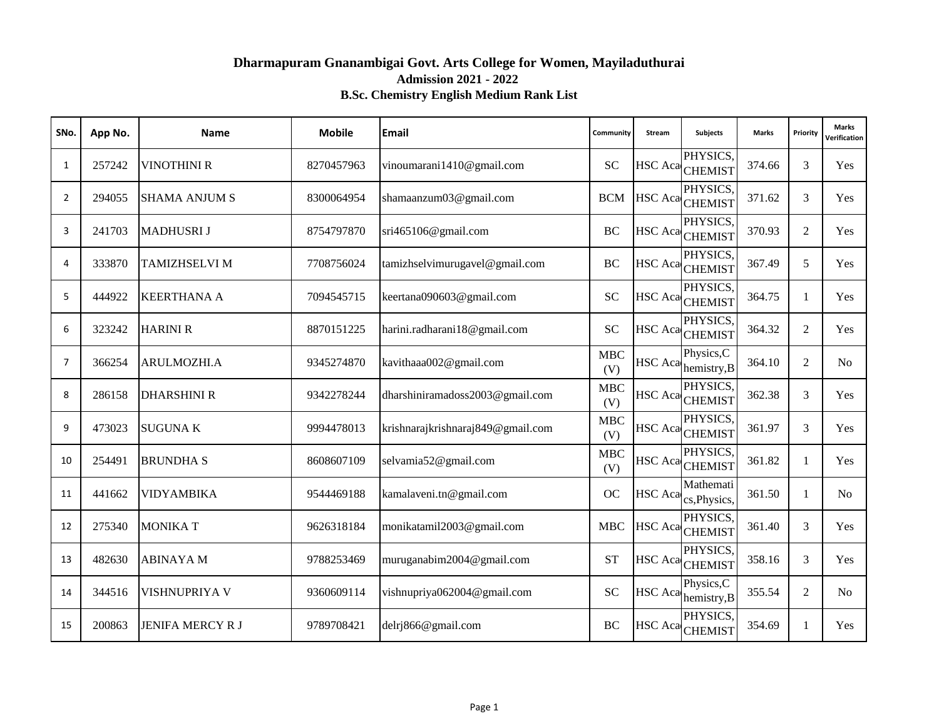# **Dharmapuram Gnanambigai Govt. Arts College for Women, Mayiladuthurai Admission 2021 - 2022 B.Sc. Chemistry English Medium Rank List**

| SNo. | App No. | Name                    | <b>Mobile</b> | <b>Email</b>                      | Community         | Stream         | <b>Subjects</b>                             | <b>Marks</b> | Priority       | <b>Marks</b><br>Verification |
|------|---------|-------------------------|---------------|-----------------------------------|-------------------|----------------|---------------------------------------------|--------------|----------------|------------------------------|
| 1    | 257242  | VINOTHINI R             | 8270457963    | vinoumarani1410@gmail.com         | <b>SC</b>         |                | PHYSICS,<br>HSC Aca CHEMIST                 | 374.66       | 3              | Yes                          |
| 2    | 294055  | <b>SHAMA ANJUM S</b>    | 8300064954    | shamaanzum03@gmail.com            | <b>BCM</b>        |                | PHYSICS,<br>HSC Aca CHEMIST                 | 371.62       | 3              | Yes                          |
| 3    | 241703  | <b>MADHUSRIJ</b>        | 8754797870    | sri465106@gmail.com               | <b>BC</b>         |                | PHYSICS.<br>HSC Aca CHEMIST                 | 370.93       | 2              | Yes                          |
| 4    | 333870  | <b>TAMIZHSELVI M</b>    | 7708756024    | tamizhselvimurugavel@gmail.com    | <b>BC</b>         |                | PHYSICS,<br>HSC Aca CHEMIST                 | 367.49       | 5              | Yes                          |
| 5    | 444922  | <b>KEERTHANA A</b>      | 7094545715    | keertana090603@gmail.com          | <b>SC</b>         |                | PHYSICS,<br>HSC Aca CHEMIST                 | 364.75       | 1              | Yes                          |
| 6    | 323242  | <b>HARINI R</b>         | 8870151225    | harini.radharani18@gmail.com      | <b>SC</b>         |                | PHYSICS,<br>HSC Aca CHEMIST                 | 364.32       | 2              | Yes                          |
| 7    | 366254  | <b>ARULMOZHI.A</b>      | 9345274870    | kavithaaa002@gmail.com            | <b>MBC</b><br>(V) |                | Physics, C<br>HSC Aca hemistry, B           | 364.10       | 2              | N <sub>o</sub>               |
| 8    | 286158  | <b>DHARSHINI R</b>      | 9342278244    | dharshiniramadoss2003@gmail.com   | <b>MBC</b><br>(V) |                | PHYSICS,<br>HSC Aca <sub>CHEMIST</sub>      | 362.38       | 3              | Yes                          |
| 9    | 473023  | <b>SUGUNAK</b>          | 9994478013    | krishnarajkrishnaraj849@gmail.com | <b>MBC</b><br>(V) |                | PHYSICS,<br>HSC Aca <sub>CHEMIST</sub>      | 361.97       | 3              | Yes                          |
| 10   | 254491  | <b>BRUNDHA S</b>        | 8608607109    | selvamia52@gmail.com              | <b>MBC</b><br>(V) |                | PHYSICS,<br>HSC Aca CHEMIST                 | 361.82       | 1              | Yes                          |
| 11   | 441662  | VIDYAMBIKA              | 9544469188    | kamalaveni.tn@gmail.com           | <b>OC</b>         |                | Mathemati<br>HSC Aca <sub>cs,Physics,</sub> | 361.50       | $\mathbf{1}$   | N <sub>0</sub>               |
| 12   | 275340  | <b>MONIKAT</b>          | 9626318184    | monikatamil2003@gmail.com         | <b>MBC</b>        |                | PHYSICS,<br>HSC Aca CHEMIST                 | 361.40       | 3              | Yes                          |
| 13   | 482630  | <b>ABINAYAM</b>         | 9788253469    | muruganabim2004@gmail.com         | <b>ST</b>         |                | PHYSICS,<br>HSC Aca CHEMIST                 | 358.16       | 3              | Yes                          |
| 14   | 344516  | VISHNUPRIYA V           | 9360609114    | vishnupriya062004@gmail.com       | <b>SC</b>         | <b>HSC</b> Aca | Physics, C<br>hemistry, B                   | 355.54       | $\overline{2}$ | N <sub>0</sub>               |
| 15   | 200863  | <b>JENIFA MERCY R J</b> | 9789708421    | delrj866@gmail.com                | <b>BC</b>         |                | PHYSICS,<br>HSC Aca CHEMIST                 | 354.69       | 1              | Yes                          |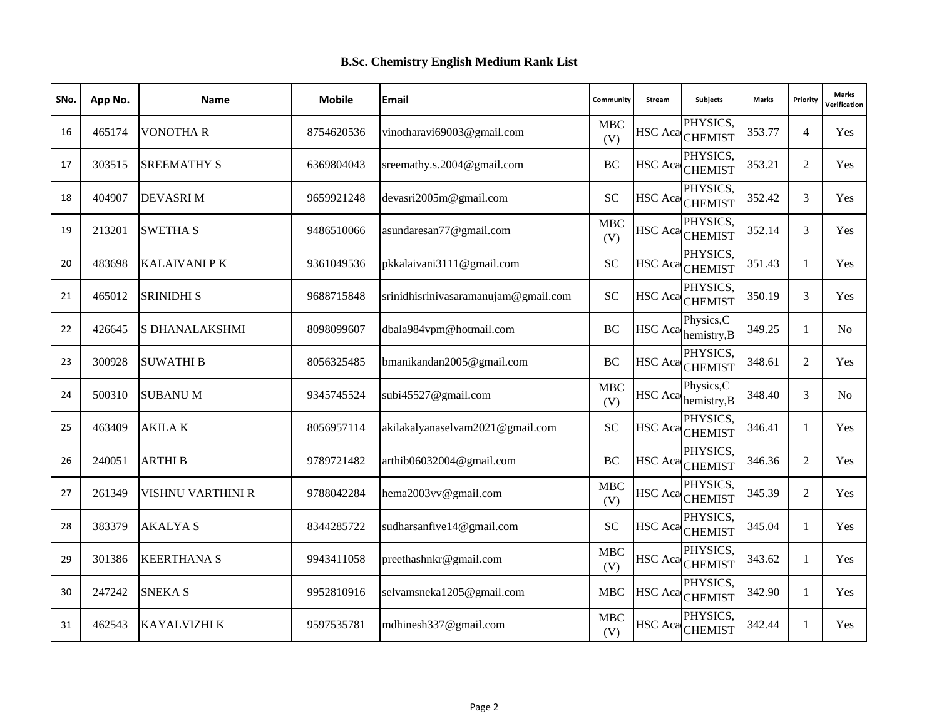| SNo. | App No. | <b>Name</b>              | <b>Mobile</b> | Email                                | Community         | Stream         | Subjects                               | <b>Marks</b> | Priority       | <b>Marks</b><br>Verification |
|------|---------|--------------------------|---------------|--------------------------------------|-------------------|----------------|----------------------------------------|--------------|----------------|------------------------------|
| 16   | 465174  | <b>VONOTHA R</b>         | 8754620536    | vinotharavi69003@gmail.com           | MBC<br>(V)        |                | PHYSICS,<br>HSC Aca CHEMIST            | 353.77       | $\overline{4}$ | Yes                          |
| 17   | 303515  | <b>SREEMATHY S</b>       | 6369804043    | sreemathy.s.2004@gmail.com           | <b>BC</b>         |                | PHYSICS.<br>HSC Aca CHEMIST            | 353.21       | 2              | Yes                          |
| 18   | 404907  | <b>DEVASRIM</b>          | 9659921248    | devasri2005m@gmail.com               | <b>SC</b>         |                | PHYSICS,<br>HSC Aca <sub>CHEMIST</sub> | 352.42       | 3              | Yes                          |
| 19   | 213201  | <b>SWETHA S</b>          | 9486510066    | asundaresan77@gmail.com              | <b>MBC</b><br>(V) | <b>HSC</b> Aca | PHYSICS.<br><b>CHEMIST</b>             | 352.14       | 3              | Yes                          |
| 20   | 483698  | <b>KALAIVANI P K</b>     | 9361049536    | pkkalaivani3111@gmail.com            | <b>SC</b>         |                | PHYSICS.<br>HSC Aca CHEMIST            | 351.43       | 1              | Yes                          |
| 21   | 465012  | <b>SRINIDHI S</b>        | 9688715848    | srinidhisrinivasaramanujam@gmail.com | <b>SC</b>         |                | PHYSICS,<br>HSC Aca CHEMIST            | 350.19       | 3              | Yes                          |
| 22   | 426645  | <b>S DHANALAKSHMI</b>    | 8098099607    | dbala984vpm@hotmail.com              | BC                | <b>HSC</b> Aca | Physics, C<br>hemistry, B              | 349.25       | $\mathbf{1}$   | N <sub>0</sub>               |
| 23   | 300928  | <b>SUWATHI B</b>         | 8056325485    | bmanikandan2005@gmail.com            | <b>BC</b>         |                | PHYSICS.<br>HSC Aca <sub>CHEMIST</sub> | 348.61       | 2              | Yes                          |
| 24   | 500310  | <b>SUBANUM</b>           | 9345745524    | subi45527@gmail.com                  | <b>MBC</b><br>(V) | HSC Aca        | Physics, C<br>hemistry, B              | 348.40       | 3              | N <sub>o</sub>               |
| 25   | 463409  | <b>AKILAK</b>            | 8056957114    | akilakalyanaselvam2021@gmail.com     | <b>SC</b>         |                | PHYSICS.<br>HSC Aca <sub>CHEMIST</sub> | 346.41       | $\mathbf{1}$   | Yes                          |
| 26   | 240051  | <b>ARTHIB</b>            | 9789721482    | arthib06032004@gmail.com             | <b>BC</b>         |                | PHYSICS.<br>HSC Aca <sub>CHEMIST</sub> | 346.36       | 2              | Yes                          |
| 27   | 261349  | <b>VISHNU VARTHINI R</b> | 9788042284    | hema2003vv@gmail.com                 | <b>MBC</b><br>(V) |                | PHYSICS.<br>HSC Aca <sub>CHEMIST</sub> | 345.39       | 2              | Yes                          |
| 28   | 383379  | <b>AKALYAS</b>           | 8344285722    | sudharsanfive14@gmail.com            | <b>SC</b>         |                | PHYSICS,<br>HSC Aca <sub>CHEMIST</sub> | 345.04       | 1              | Yes                          |
| 29   | 301386  | <b>KEERTHANA S</b>       | 9943411058    | preethashnkr@gmail.com               | <b>MBC</b><br>(V) | HSC Aca        | PHYSICS,<br><b>CHEMIST</b>             | 343.62       | $\mathbf{1}$   | Yes                          |
| 30   | 247242  | <b>SNEKA S</b>           | 9952810916    | selvamsneka1205@gmail.com            | <b>MBC</b>        |                | PHYSICS.<br>HSC Aca CHEMIST            | 342.90       | 1              | <b>Yes</b>                   |
| 31   | 462543  | <b>KAYALVIZHI K</b>      | 9597535781    | mdhinesh337@gmail.com                | <b>MBC</b><br>(V) | <b>HSC</b> Aca | PHYSICS,<br><b>CHEMIST</b>             | 342.44       | 1              | Yes                          |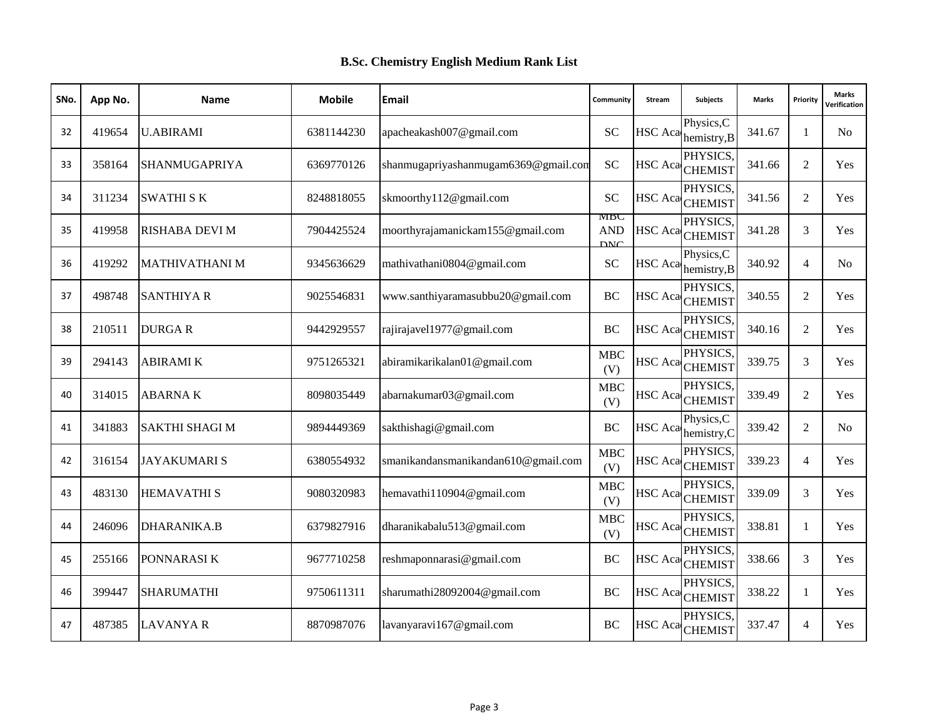| SNo. | App No. | <b>Name</b>           | <b>Mobile</b> | Email                                | Community                       | Stream         | <b>Subjects</b>                        | <b>Marks</b> | Priority       | <b>Marks</b><br><b>/erification</b> |
|------|---------|-----------------------|---------------|--------------------------------------|---------------------------------|----------------|----------------------------------------|--------------|----------------|-------------------------------------|
| 32   | 419654  | <b>U.ABIRAMI</b>      | 6381144230    | apacheakash007@gmail.com             | <b>SC</b>                       | <b>HSC</b> Aca | Physics, C<br>hemistry, B              | 341.67       | 1              | N <sub>0</sub>                      |
| 33   | 358164  | SHANMUGAPRIYA         | 6369770126    | shanmugapriyashanmugam6369@gmail.com | SC                              |                | PHYSICS.<br>HSC Aca CHEMIST            | 341.66       | 2              | Yes                                 |
| 34   | 311234  | <b>SWATHI SK</b>      | 8248818055    | skmoorthy112@gmail.com               | <b>SC</b>                       |                | PHYSICS.<br>HSC Aca CHEMIST            | 341.56       | 2              | Yes                                 |
| 35   | 419958  | <b>RISHABA DEVI M</b> | 7904425524    | moorthyrajamanickam155@gmail.com     | MBC<br><b>AND</b><br><b>DNC</b> | <b>HSC</b> Aca | PHYSICS.<br><b>CHEMIST</b>             | 341.28       | 3              | Yes                                 |
| 36   | 419292  | <b>MATHIVATHANI M</b> | 9345636629    | mathivathani0804@gmail.com           | <b>SC</b>                       | <b>HSC</b> Aca | Physics, C<br>hemistry, B              | 340.92       | $\overline{4}$ | N <sub>0</sub>                      |
| 37   | 498748  | <b>SANTHIYA R</b>     | 9025546831    | www.santhiyaramasubbu20@gmail.com    | <b>BC</b>                       |                | PHYSICS.<br>HSC Aca CHEMIST            | 340.55       | 2              | Yes                                 |
| 38   | 210511  | <b>DURGAR</b>         | 9442929557    | rajirajavel1977@gmail.com            | <b>BC</b>                       |                | PHYSICS,<br>HSC Aca CHEMIST            | 340.16       | 2              | Yes                                 |
| 39   | 294143  | <b>ABIRAMIK</b>       | 9751265321    | abiramikarikalan01@gmail.com         | <b>MBC</b><br>(V)               |                | PHYSICS.<br>HSC Aca <sub>CHEMIST</sub> | 339.75       | 3              | Yes                                 |
| 40   | 314015  | <b>ABARNAK</b>        | 8098035449    | abarnakumar03@gmail.com              | <b>MBC</b><br>(V)               |                | PHYSICS.<br>HSC Aca CHEMIST            | 339.49       | $\overline{2}$ | Yes                                 |
| 41   | 341883  | <b>SAKTHI SHAGI M</b> | 9894449369    | sakthishagi@gmail.com                | BC                              | <b>HSC</b> Aca | Physics, C<br>hemistry, C              | 339.42       | $\overline{2}$ | N <sub>0</sub>                      |
| 42   | 316154  | <b>JAYAKUMARIS</b>    | 6380554932    | smanikandansmanikandan610@gmail.com  | MBC<br>(V)                      |                | PHYSICS.<br>HSC Aca <sub>CHEMIST</sub> | 339.23       | $\overline{4}$ | Yes                                 |
| 43   | 483130  | <b>HEMAVATHI S</b>    | 9080320983    | hemavathi110904@gmail.com            | <b>MBC</b><br>(V)               |                | PHYSICS.<br>HSC Aca <sub>CHEMIST</sub> | 339.09       | 3              | Yes                                 |
| 44   | 246096  | <b>DHARANIKA.B</b>    | 6379827916    | dharanikabalu513@gmail.com           | <b>MBC</b><br>(V)               |                | PHYSICS.<br>HSC Aca CHEMIST            | 338.81       | 1              | Yes                                 |
| 45   | 255166  | PONNARASI K           | 9677710258    | reshmaponnarasi@gmail.com            | <b>BC</b>                       | <b>HSC</b> Aca | PHYSICS.<br><b>CHEMIST</b>             | 338.66       | 3              | Yes                                 |
| 46   | 399447  | <b>SHARUMATHI</b>     | 9750611311    | sharumathi28092004@gmail.com         | <b>BC</b>                       |                | PHYSICS.<br>HSC Aca CHEMIST            | 338.22       | $\mathbf{1}$   | <b>Yes</b>                          |
| 47   | 487385  | <b>LAVANYA R</b>      | 8870987076    | lavanyaravi167@gmail.com             | <b>BC</b>                       |                | PHYSICS.<br>HSC Aca CHEMIST            | 337.47       | $\overline{4}$ | Yes                                 |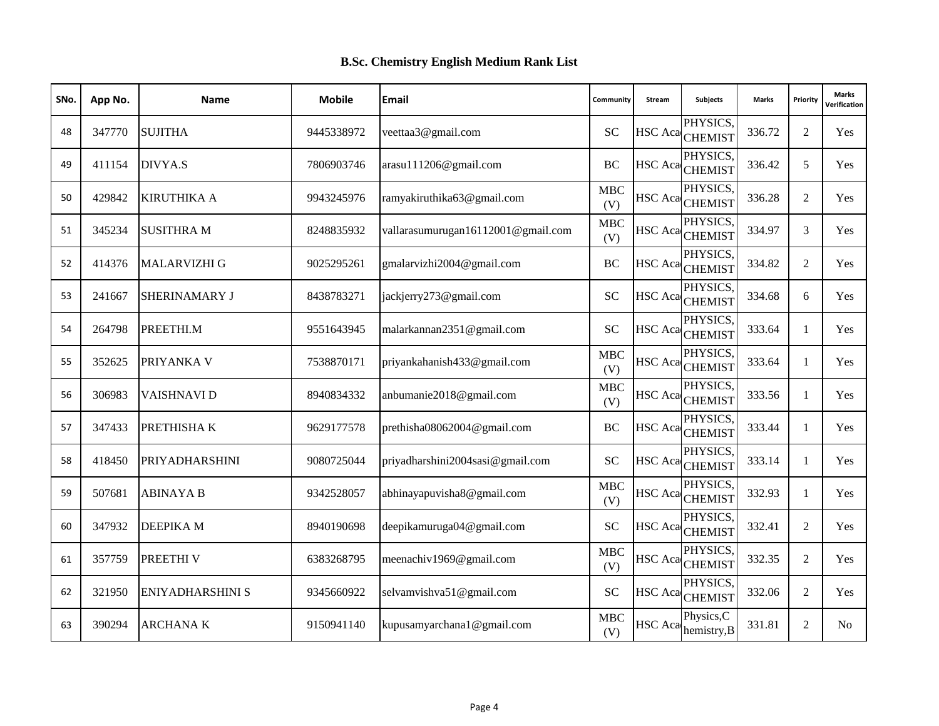| SNo. | App No. | <b>Name</b>             | <b>Mobile</b> | Email                              | Community         | Stream         | Subjects                               | <b>Marks</b> | Priority     | <b>Marks</b><br>Verification |
|------|---------|-------------------------|---------------|------------------------------------|-------------------|----------------|----------------------------------------|--------------|--------------|------------------------------|
| 48   | 347770  | <b>SUJITHA</b>          | 9445338972    | veettaa3@gmail.com                 | <b>SC</b>         |                | PHYSICS,<br>HSC Aca CHEMIST            | 336.72       | 2            | Yes                          |
| 49   | 411154  | DIVYA.S                 | 7806903746    | arasu111206@gmail.com              | <b>BC</b>         |                | PHYSICS,<br>HSC Aca CHEMIST            | 336.42       | 5            | Yes                          |
| 50   | 429842  | <b>KIRUTHIKA A</b>      | 9943245976    | ramyakiruthika63@gmail.com         | <b>MBC</b><br>(V) |                | PHYSICS,<br>HSC Aca CHEMIST            | 336.28       | 2            | Yes                          |
| 51   | 345234  | <b>SUSITHRA M</b>       | 8248835932    | vallarasumurugan16112001@gmail.com | <b>MBC</b><br>(V) | <b>HSC</b> Aca | PHYSICS.<br><b>CHEMIST</b>             | 334.97       | 3            | <b>Yes</b>                   |
| 52   | 414376  | <b>MALARVIZHI G</b>     | 9025295261    | gmalarvizhi2004@gmail.com          | BC                |                | PHYSICS.<br>HSC Aca CHEMIST            | 334.82       | 2            | Yes                          |
| 53   | 241667  | <b>SHERINAMARY J</b>    | 8438783271    | jackjerry273@gmail.com             | <b>SC</b>         |                | PHYSICS,<br>HSC Aca CHEMIST            | 334.68       | 6            | Yes                          |
| 54   | 264798  | PREETHI.M               | 9551643945    | malarkannan2351@gmail.com          | <b>SC</b>         |                | PHYSICS,<br>HSC Aca <sub>CHEMIST</sub> | 333.64       | 1            | Yes                          |
| 55   | 352625  | PRIYANKA V              | 7538870171    | priyankahanish433@gmail.com        | <b>MBC</b><br>(V) |                | PHYSICS,<br>HSC Aca <sub>CHEMIST</sub> | 333.64       | 1            | Yes                          |
| 56   | 306983  | <b>VAISHNAVI D</b>      | 8940834332    | anbumanie2018@gmail.com            | <b>MBC</b><br>(V) |                | PHYSICS.<br>HSC Aca CHEMIST            | 333.56       | 1            | Yes                          |
| 57   | 347433  | PRETHISHAK              | 9629177578    | prethisha08062004@gmail.com        | <b>BC</b>         |                | PHYSICS.<br>HSC Aca CHEMIST            | 333.44       | $\mathbf{1}$ | Yes                          |
| 58   | 418450  | <b>PRIYADHARSHINI</b>   | 9080725044    | priyadharshini2004sasi@gmail.com   | <b>SC</b>         |                | PHYSICS.<br>HSC Aca <sub>CHEMIST</sub> | 333.14       | 1            | Yes                          |
| 59   | 507681  | <b>ABINAYA B</b>        | 9342528057    | abhinayapuvisha8@gmail.com         | <b>MBC</b><br>(V) |                | PHYSICS.<br>HSC Aca CHEMIST            | 332.93       | 1            | Yes                          |
| 60   | 347932  | DEEPIKA M               | 8940190698    | deepikamuruga04@gmail.com          | <b>SC</b>         |                | PHYSICS,<br>HSC Aca CHEMIST            | 332.41       | 2            | Yes                          |
| 61   | 357759  | PREETHI V               | 6383268795    | meenachiv1969@gmail.com            | <b>MBC</b><br>(V) | HSC Aca        | PHYSICS,<br><b>CHEMIST</b>             | 332.35       | 2            | Yes                          |
| 62   | 321950  | <b>ENIYADHARSHINI S</b> | 9345660922    | selvamvishva51@gmail.com           | <b>SC</b>         |                | PHYSICS.<br>HSC Aca CHEMIST            | 332.06       | 2            | <b>Yes</b>                   |
| 63   | 390294  | <b>ARCHANAK</b>         | 9150941140    | kupusamyarchana1@gmail.com         | <b>MBC</b><br>(V) | <b>HSC</b> Aca | Physics, C<br>hemistry, B              | 331.81       | 2            | N <sub>0</sub>               |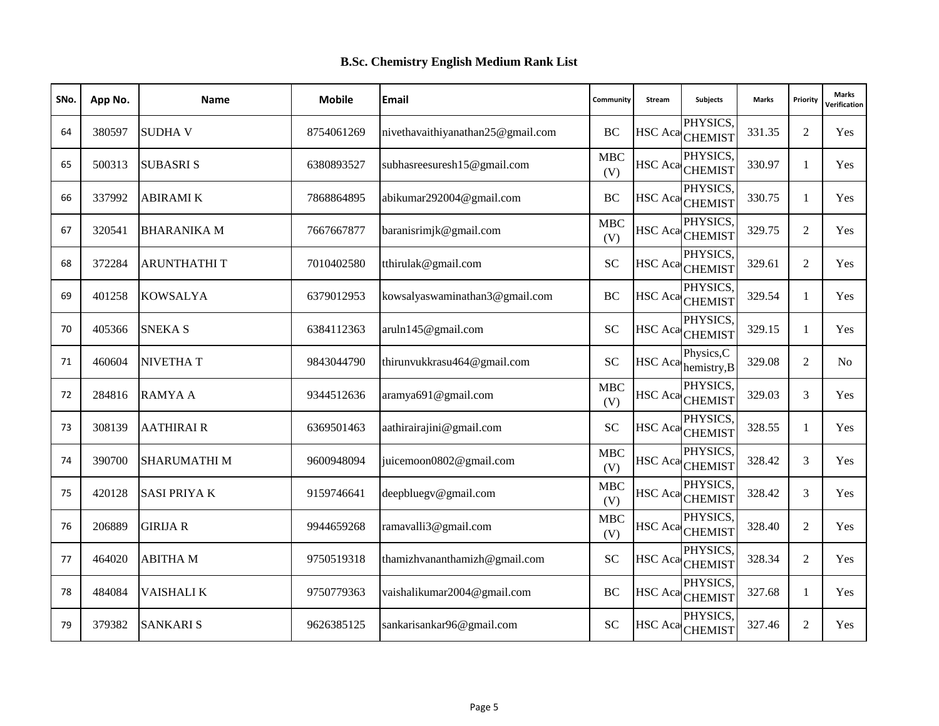| SNo. | App No. | <b>Name</b>        | <b>Mobile</b> | Email                             | Community          | Stream  | <b>Subjects</b>                        | <b>Marks</b> | Priority       | <b>Marks</b><br><b>/erification</b> |
|------|---------|--------------------|---------------|-----------------------------------|--------------------|---------|----------------------------------------|--------------|----------------|-------------------------------------|
| 64   | 380597  | <b>SUDHAV</b>      | 8754061269    | nivethavaithiyanathan25@gmail.com | <b>BC</b>          |         | PHYSICS,<br>HSC Aca CHEMIST            | 331.35       | 2              | Yes                                 |
| 65   | 500313  | <b>SUBASRIS</b>    | 6380893527    | subhasreesuresh15@gmail.com       | <b>MBC</b><br>(V)  |         | PHYSICS,<br>HSC AcaCHEMIST             | 330.97       | $\mathbf{1}$   | Yes                                 |
| 66   | 337992  | <b>ABIRAMI K</b>   | 7868864895    | abikumar292004@gmail.com          | BC                 |         | PHYSICS.<br>HSC Aca CHEMIST            | 330.75       | $\mathbf{1}$   | Yes                                 |
| 67   | 320541  | <b>BHARANIKA M</b> | 7667667877    | baranisrimjk@gmail.com            | MBC<br>(V)         | HSC Aca | PHYSICS.<br><b>CHEMIST</b>             | 329.75       | $\overline{2}$ | Yes                                 |
| 68   | 372284  | <b>ARUNTHATHIT</b> | 7010402580    | tthirulak@gmail.com               | <b>SC</b>          |         | PHYSICS.<br>HSC Aca <sub>CHEMIST</sub> | 329.61       | 2              | Yes                                 |
| 69   | 401258  | <b>KOWSALYA</b>    | 6379012953    | kowsalyaswaminathan3@gmail.com    | <b>BC</b>          |         | PHYSICS.<br>HSC Aca CHEMIST            | 329.54       | $\mathbf{1}$   | Yes                                 |
| 70   | 405366  | <b>SNEKA S</b>     | 6384112363    | aruln145@gmail.com                | <b>SC</b>          |         | PHYSICS,<br>HSC Aca CHEMIST            | 329.15       | $\mathbf{1}$   | Yes                                 |
| 71   | 460604  | <b>NIVETHAT</b>    | 9843044790    | thirunvukkrasu464@gmail.com       | <b>SC</b>          | HSC Aca | Physics, C<br>hemistry, B              | 329.08       | 2              | N <sub>0</sub>                      |
| 72   | 284816  | <b>RAMYAA</b>      | 9344512636    | aramya691@gmail.com               | <b>MBC</b><br>(V)  |         | PHYSICS.<br>HSC Aca <sub>CHEMIST</sub> | 329.03       | 3              | Yes                                 |
| 73   | 308139  | <b>AATHIRAIR</b>   | 6369501463    | aathirairajini@gmail.com          | <b>SC</b>          |         | PHYSICS,<br>HSC Aca CHEMIST            | 328.55       | $\mathbf{1}$   | Yes                                 |
| 74   | 390700  | <b>SHARUMATHIM</b> | 9600948094    | juicemoon0802@gmail.com           | <b>MBC</b><br>(V)  |         | PHYSICS.<br>HSC Aca <sub>CHEMIST</sub> | 328.42       | 3              | Yes                                 |
| 75   | 420128  | <b>SASI PRIYAK</b> | 9159746641    | deepbluegy@gmail.com              | ${\bf MBC}$<br>(V) |         | PHYSICS.<br>HSC Aca <sub>CHEMIST</sub> | 328.42       | 3              | Yes                                 |
| 76   | 206889  | <b>GIRIJA R</b>    | 9944659268    | ramavalli3@gmail.com              | <b>MBC</b><br>(V)  |         | PHYSICS.<br>HSC Aca <sub>CHEMIST</sub> | 328.40       | 2              | Yes                                 |
| 77   | 464020  | <b>ABITHA M</b>    | 9750519318    | thamizhvananthamizh@gmail.com     | <b>SC</b>          |         | PHYSICS,<br>HSC Aca <sub>CHEMIST</sub> | 328.34       | 2              | Yes                                 |
| 78   | 484084  | VAISHALI K         | 9750779363    | vaishalikumar2004@gmail.com       | <b>BC</b>          |         | PHYSICS.<br>HSC Aca CHEMIST            | 327.68       | $\mathbf{1}$   | <b>Yes</b>                          |
| 79   | 379382  | <b>SANKARIS</b>    | 9626385125    | sankarisankar96@gmail.com         | <b>SC</b>          |         | PHYSICS,<br>HSC Aca CHEMIST            | 327.46       | 2              | Yes                                 |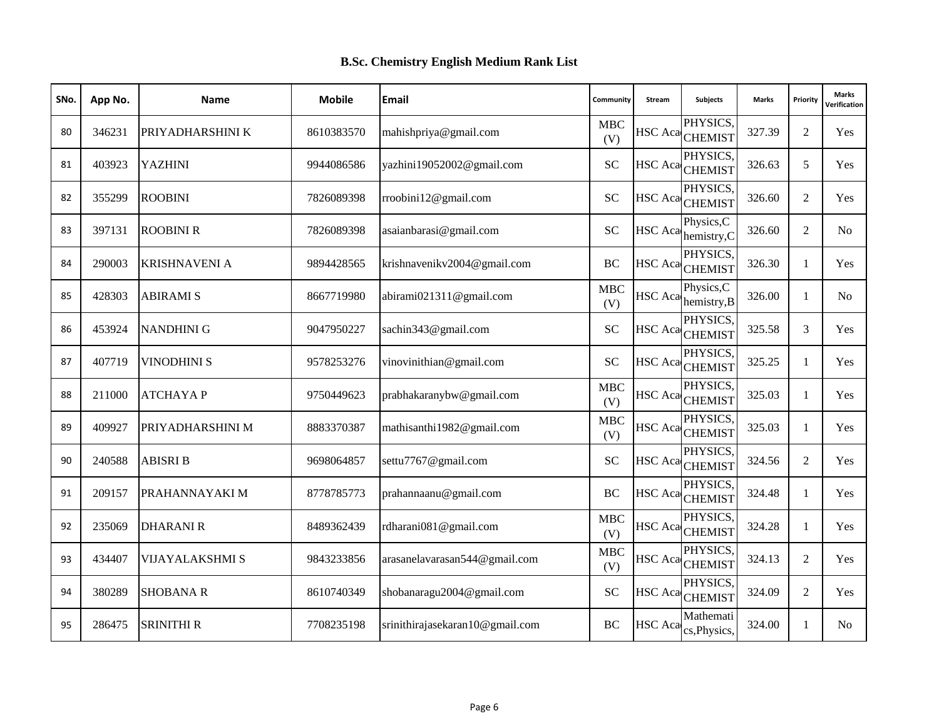| SNo. | App No. | <b>Name</b>          | <b>Mobile</b> | Email                           | Community         | Stream         | Subjects                               | <b>Marks</b> | Priority       | <b>Marks</b><br>Verification |
|------|---------|----------------------|---------------|---------------------------------|-------------------|----------------|----------------------------------------|--------------|----------------|------------------------------|
| 80   | 346231  | PRIYADHARSHINI K     | 8610383570    | mahishpriya@gmail.com           | <b>MBC</b><br>(V) |                | PHYSICS,<br>HSC Aca CHEMIST            | 327.39       | $\overline{2}$ | Yes                          |
| 81   | 403923  | <b>YAZHINI</b>       | 9944086586    | yazhini19052002@gmail.com       | <b>SC</b>         |                | PHYSICS.<br>HSC Aca CHEMIST            | 326.63       | 5              | Yes                          |
| 82   | 355299  | <b>ROOBINI</b>       | 7826089398    | rroobini12@gmail.com            | <b>SC</b>         |                | PHYSICS,<br>HSC Aca CHEMIST            | 326.60       | $\overline{2}$ | Yes                          |
| 83   | 397131  | <b>ROOBINI R</b>     | 7826089398    | asaianbarasi@gmail.com          | <b>SC</b>         | <b>HSC</b> Aca | Physics, C<br>hemistry, C              | 326.60       | $\overline{2}$ | No.                          |
| 84   | 290003  | <b>KRISHNAVENI A</b> | 9894428565    | krishnavenikv2004@gmail.com     | BC                |                | PHYSICS,<br>HSC Aca CHEMIST            | 326.30       | -1             | Yes                          |
| 85   | 428303  | <b>ABIRAMI S</b>     | 8667719980    | abirami021311@gmail.com         | <b>MBC</b><br>(V) |                | Physics, C<br>HSC Aca hemistry, B      | 326.00       | $\mathbf{1}$   | No                           |
| 86   | 453924  | <b>NANDHINI G</b>    | 9047950227    | sachin343@gmail.com             | <b>SC</b>         |                | PHYSICS.<br>HSC Aca CHEMIST            | 325.58       | 3              | Yes                          |
| 87   | 407719  | <b>VINODHINI S</b>   | 9578253276    | vinovinithian@gmail.com         | <b>SC</b>         |                | PHYSICS,<br>HSC Aca CHEMIST            | 325.25       | -1             | Yes                          |
| 88   | 211000  | <b>ATCHAYAP</b>      | 9750449623    | prabhakaranybw@gmail.com        | <b>MBC</b><br>(V) |                | PHYSICS,<br>HSC Aca <sub>CHEMIST</sub> | 325.03       | 1              | Yes                          |
| 89   | 409927  | PRIYADHARSHINI M     | 8883370387    | mathisanthi1982@gmail.com       | <b>MBC</b><br>(V) |                | PHYSICS.<br>HSC Aca CHEMIST            | 325.03       | $\mathbf{1}$   | Yes                          |
| 90   | 240588  | <b>ABISRI B</b>      | 9698064857    | settu7767@gmail.com             | <b>SC</b>         |                | PHYSICS,<br>HSC Aca CHEMIST            | 324.56       | 2              | Yes                          |
| 91   | 209157  | PRAHANNAYAKI M       | 8778785773    | prahannaanu@gmail.com           | <b>BC</b>         |                | PHYSICS.<br>HSC Aca <sub>CHEMIST</sub> | 324.48       | $\mathbf{1}$   | Yes                          |
| 92   | 235069  | <b>DHARANIR</b>      | 8489362439    | rdharani081@gmail.com           | <b>MBC</b><br>(V) |                | PHYSICS.<br>HSC Aca CHEMIST            | 324.28       | 1              | Yes                          |
| 93   | 434407  | VIJAYALAKSHMI S      | 9843233856    | arasanelavarasan544@gmail.com   | <b>MBC</b><br>(V) |                | PHYSICS.<br>HSC Aca <sub>CHEMIST</sub> | 324.13       | 2              | Yes                          |
| 94   | 380289  | <b>SHOBANA R</b>     | 8610740349    | shobanaragu2004@gmail.com       | <b>SC</b>         |                | PHYSICS,<br>HSC Aca CHEMIST            | 324.09       | 2              | Yes                          |
| 95   | 286475  | <b>SRINITHI R</b>    | 7708235198    | srinithirajasekaran10@gmail.com | <b>BC</b>         | <b>HSC</b> Aca | Mathemati<br>cs, Physics,              | 324.00       | $\mathbf{1}$   | N <sub>o</sub>               |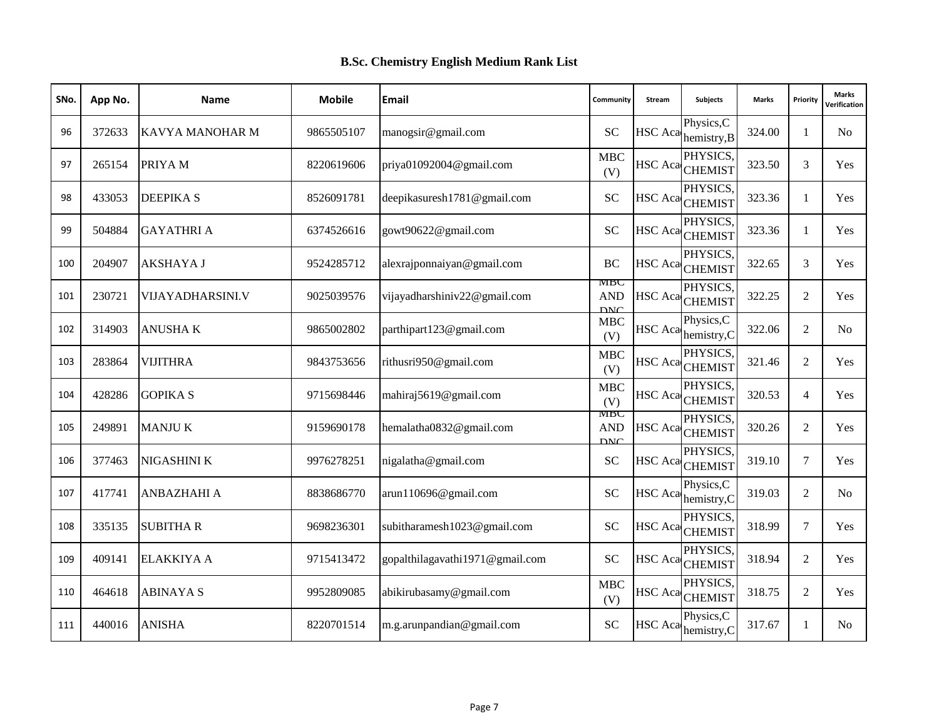| SNo. | App No. | <b>Name</b>        | <b>Mobile</b> | Email                           | Community                        | Stream         | Subjects                               | <b>Marks</b> | Priority       | <b>Marks</b><br>Verification |
|------|---------|--------------------|---------------|---------------------------------|----------------------------------|----------------|----------------------------------------|--------------|----------------|------------------------------|
| 96   | 372633  | KAVYA MANOHAR M    | 9865505107    | manogsir@gmail.com              | <b>SC</b>                        | <b>HSC</b> Aca | Physics, C<br>hemistry, B              | 324.00       | 1              | No.                          |
| 97   | 265154  | PRIYA M            | 8220619606    | priya01092004@gmail.com         | <b>MBC</b><br>(V)                |                | PHYSICS.<br>HSC Aca <sub>CHEMIST</sub> | 323.50       | 3              | Yes                          |
| 98   | 433053  | <b>DEEPIKAS</b>    | 8526091781    | deepikasuresh1781@gmail.com     | <b>SC</b>                        |                | PHYSICS,<br>HSC Aca CHEMIST            | 323.36       | 1              | Yes                          |
| 99   | 504884  | <b>GAYATHRI A</b>  | 6374526616    | gowt90622@gmail.com             | <b>SC</b>                        | <b>HSC</b> Aca | PHYSICS.<br><b>CHEMIST</b>             | 323.36       | $\mathbf{1}$   | <b>Yes</b>                   |
| 100  | 204907  | <b>AKSHAYA J</b>   | 9524285712    | alexrajponnaiyan@gmail.com      | <b>BC</b>                        |                | PHYSICS.<br>HSC Aca CHEMIST            | 322.65       | 3              | Yes                          |
| 101  | 230721  | VIJAYADHARSINI.V   | 9025039576    | vijayadharshiniv22@gmail.com    | MBC<br><b>AND</b><br><b>DNC</b>  |                | PHYSICS,<br>HSC Aca CHEMIST            | 322.25       | 2              | Yes                          |
| 102  | 314903  | <b>ANUSHAK</b>     | 9865002802    | parthipart123@gmail.com         | <b>MBC</b><br>(V)                | HSC Aca        | Physics, C<br>hemistry, C              | 322.06       | 2              | N <sub>0</sub>               |
| 103  | 283864  | <b>VIJITHRA</b>    | 9843753656    | rithusri950@gmail.com           | <b>MBC</b><br>(V)                |                | PHYSICS.<br>HSC Aca <sub>CHEMIST</sub> | 321.46       | 2              | Yes                          |
| 104  | 428286  | <b>GOPIKA S</b>    | 9715698446    | mahiraj5619@gmail.com           | <b>MBC</b><br>(V)                |                | PHYSICS.<br>HSC Aca CHEMIST            | 320.53       | $\overline{4}$ | Yes                          |
| 105  | 249891  | <b>MANJUK</b>      | 9159690178    | hemalatha0832@gmail.com         | MIDU<br><b>AND</b><br><b>DNC</b> | HSC Aca        | PHYSICS.<br><b>CHEMIST</b>             | 320.26       | 2              | Yes                          |
| 106  | 377463  | NIGASHINI K        | 9976278251    | nigalatha@gmail.com             | <b>SC</b>                        | <b>HSC</b> Aca | PHYSICS.<br><b>CHEMIST</b>             | 319.10       | 7              | Yes                          |
| 107  | 417741  | <b>ANBAZHAHI A</b> | 8838686770    | arun110696@gmail.com            | <b>SC</b>                        | HSC Aca        | Physics, C<br>hemistry, C              | 319.03       | 2              | N <sub>0</sub>               |
| 108  | 335135  | <b>SUBITHAR</b>    | 9698236301    | subitharamesh1023@gmail.com     | <b>SC</b>                        |                | PHYSICS,<br>HSC Aca <sub>CHEMIST</sub> | 318.99       | 7              | Yes                          |
| 109  | 409141  | <b>ELAKKIYA A</b>  | 9715413472    | gopalthilagavathi1971@gmail.com | <b>SC</b>                        | <b>HSC</b> Aca | PHYSICS.<br><b>CHEMIST</b>             | 318.94       | 2              | Yes                          |
| 110  | 464618  | <b>ABINAYA S</b>   | 9952809085    | abikirubasamy@gmail.com         | <b>MBC</b><br>(V)                |                | PHYSICS.<br>HSC Aca <sub>CHEMIST</sub> | 318.75       | 2              | <b>Yes</b>                   |
| 111  | 440016  | <b>ANISHA</b>      | 8220701514    | m.g.arunpandian@gmail.com       | SC                               | <b>HSC</b> Aca | Physics, C<br>hemistry, C              | 317.67       | 1              | N <sub>0</sub>               |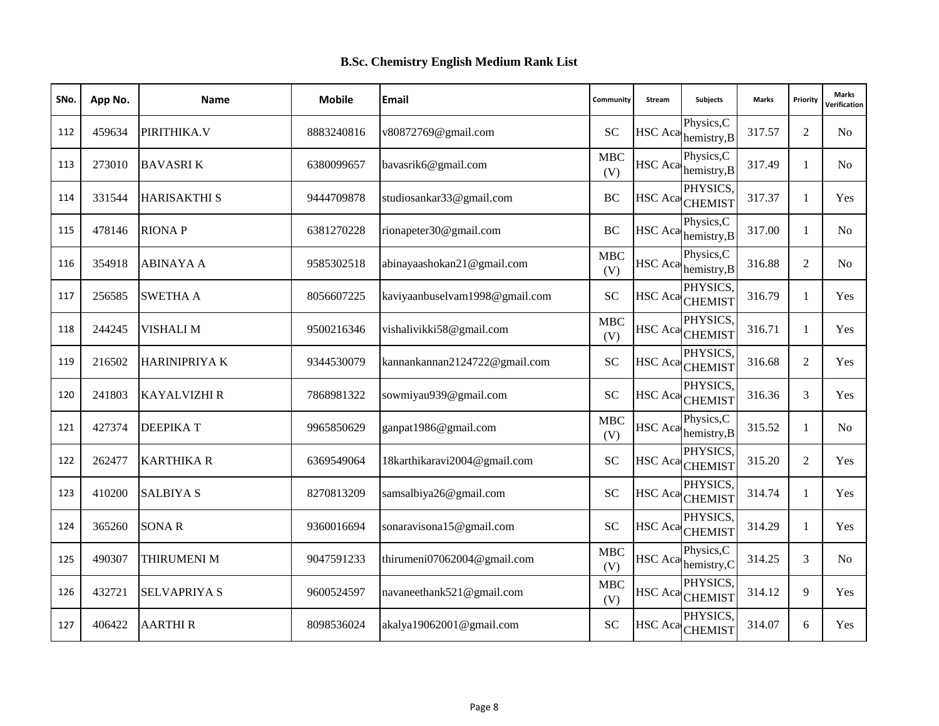| SNo. | App No. | <b>Name</b>         | <b>Mobile</b> | Email                          | Community         | Stream         | Subjects                               | <b>Marks</b> | Priority       | <b>Marks</b><br>Verification |
|------|---------|---------------------|---------------|--------------------------------|-------------------|----------------|----------------------------------------|--------------|----------------|------------------------------|
| 112  | 459634  | PIRITHIKA.V         | 8883240816    | v80872769@gmail.com            | <b>SC</b>         | <b>HSC</b> Aca | Physics, C<br>hemistry, B              | 317.57       | $\overline{2}$ | No.                          |
| 113  | 273010  | <b>BAVASRIK</b>     | 6380099657    | bavasrik6@gmail.com            | <b>MBC</b><br>(V) |                | Physics, C<br>$HSC$ Aca hemistry, B    | 317.49       | $\mathbf{1}$   | N <sub>o</sub>               |
| 114  | 331544  | <b>HARISAKTHI S</b> | 9444709878    | studiosankar33@gmail.com       | BC                |                | PHYSICS,<br>HSC Aca <sub>CHEMIST</sub> | 317.37       | 1              | Yes                          |
| 115  | 478146  | <b>RIONAP</b>       | 6381270228    | rionapeter30@gmail.com         | <b>BC</b>         | HSC Aca        | Physics, C<br>hemistry, B              | 317.00       | $\mathbf{1}$   | N <sub>o</sub>               |
| 116  | 354918  | <b>ABINAYA A</b>    | 9585302518    | abinayaashokan21@gmail.com     | <b>MBC</b><br>(V) | HSC Aca        | Physics, C<br>hemistry, B              | 316.88       | 2              | No.                          |
| 117  | 256585  | <b>SWETHA A</b>     | 8056607225    | kaviyaanbuselvam1998@gmail.com | SC                |                | PHYSICS.<br>HSC Aca <sub>CHEMIST</sub> | 316.79       | 1              | <b>Yes</b>                   |
| 118  | 244245  | VISHALI M           | 9500216346    | vishalivikki58@gmail.com       | <b>MBC</b><br>(V) |                | PHYSICS,<br>HSC Aca CHEMIST            | 316.71       | 1              | Yes                          |
| 119  | 216502  | <b>HARINIPRIYAK</b> | 9344530079    | kannankannan2124722@gmail.com  | <b>SC</b>         |                | PHYSICS.<br>HSC Aca <sub>CHEMIST</sub> | 316.68       | 2              | Yes                          |
| 120  | 241803  | <b>KAYALVIZHI R</b> | 7868981322    | sowmiyau939@gmail.com          | <b>SC</b>         |                | PHYSICS,<br>HSC Aca CHEMIST            | 316.36       | 3              | Yes                          |
| 121  | 427374  | <b>DEEPIKAT</b>     | 9965850629    | ganpat1986@gmail.com           | <b>MBC</b><br>(V) | HSC Aca        | Physics, C<br>hemistry, B              | 315.52       | $\mathbf{1}$   | N <sub>o</sub>               |
| 122  | 262477  | <b>KARTHIKA R</b>   | 6369549064    | 18karthikaravi2004@gmail.com   | <b>SC</b>         |                | PHYSICS.<br>HSC Aca <sub>CHEMIST</sub> | 315.20       | 2              | Yes                          |
| 123  | 410200  | <b>SALBIYA S</b>    | 8270813209    | samsalbiya26@gmail.com         | <b>SC</b>         |                | PHYSICS.<br>HSC Aca <sub>CHEMIST</sub> | 314.74       | 1              | <b>Yes</b>                   |
| 124  | 365260  | <b>SONAR</b>        | 9360016694    | sonaravisona15@gmail.com       | <b>SC</b>         |                | PHYSICS,<br>HSC Aca CHEMIST            | 314.29       | 1              | Yes                          |
| 125  | 490307  | THIRUMENI M         | 9047591233    | thirumeni07062004@gmail.com    | <b>MBC</b><br>(V) | HSC Aca        | Physics, C<br>hemistry, C              | 314.25       | 3              | N <sub>o</sub>               |
| 126  | 432721  | <b>SELVAPRIYA S</b> | 9600524597    | navaneethank521@gmail.com      | <b>MBC</b><br>(V) |                | PHYSICS.<br>HSC Aca <sub>CHEMIST</sub> | 314.12       | 9              | <b>Yes</b>                   |
| 127  | 406422  | <b>AARTHIR</b>      | 8098536024    | akalya19062001@gmail.com       | SC                |                | PHYSICS,<br>HSC Aca CHEMIST            | 314.07       | 6              | Yes                          |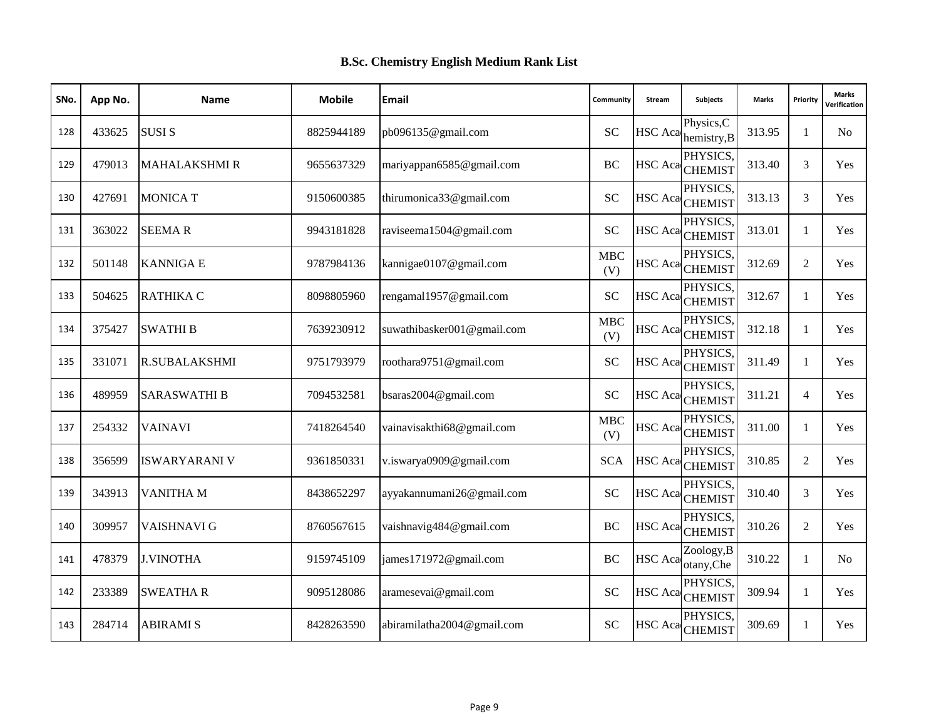| SNo. | App No. | <b>Name</b>          | <b>Mobile</b> | Email                      | Community         | Stream         | <b>Subjects</b>                        | <b>Marks</b> | Priority       | <b>Marks</b><br><b>/erification</b> |
|------|---------|----------------------|---------------|----------------------------|-------------------|----------------|----------------------------------------|--------------|----------------|-------------------------------------|
| 128  | 433625  | <b>SUSIS</b>         | 8825944189    | pb096135@gmail.com         | <b>SC</b>         | <b>HSC</b> Aca | Physics, C<br>hemistry, B              | 313.95       | 1              | N <sub>0</sub>                      |
| 129  | 479013  | <b>MAHALAKSHMI R</b> | 9655637329    | mariyappan6585@gmail.com   | BC                |                | PHYSICS.<br>HSC Aca CHEMIST            | 313.40       | 3              | Yes                                 |
| 130  | 427691  | <b>MONICA T</b>      | 9150600385    | thirumonica33@gmail.com    | <b>SC</b>         |                | PHYSICS.<br>HSC Aca CHEMIST            | 313.13       | 3              | Yes                                 |
| 131  | 363022  | <b>SEEMAR</b>        | 9943181828    | raviseema1504@gmail.com    | <b>SC</b>         | <b>HSC</b> Aca | PHYSICS.<br><b>CHEMIST</b>             | 313.01       | $\mathbf{1}$   | Yes                                 |
| 132  | 501148  | <b>KANNIGA E</b>     | 9787984136    | kannigae0107@gmail.com     | <b>MBC</b><br>(V) |                | PHYSICS.<br>HSC Aca <sub>CHEMIST</sub> | 312.69       | 2              | Yes                                 |
| 133  | 504625  | RATHIKA C            | 8098805960    | rengamal1957@gmail.com     | <b>SC</b>         |                | PHYSICS.<br>HSC Aca CHEMIST            | 312.67       | 1              | Yes                                 |
| 134  | 375427  | <b>SWATHI B</b>      | 7639230912    | suwathibasker001@gmail.com | <b>MBC</b><br>(V) |                | PHYSICS,<br>HSC Aca <sub>CHEMIST</sub> | 312.18       | $\mathbf{1}$   | Yes                                 |
| 135  | 331071  | <b>R.SUBALAKSHMI</b> | 9751793979    | roothara9751@gmail.com     | <b>SC</b>         |                | PHYSICS.<br>HSC Aca CHEMIST            | 311.49       | 1              | Yes                                 |
| 136  | 489959  | <b>SARASWATHI B</b>  | 7094532581    | bsaras2004@gmail.com       | <b>SC</b>         |                | PHYSICS.<br>HSC Aca CHEMIST            | 311.21       | $\overline{4}$ | <b>Yes</b>                          |
| 137  | 254332  | VAINAVI              | 7418264540    | vainavisakthi68@gmail.com  | MBC<br>(V)        |                | PHYSICS.<br>HSC Aca <sub>CHEMIST</sub> | 311.00       | 1              | Yes                                 |
| 138  | 356599  | <b>ISWARYARANI V</b> | 9361850331    | v.iswarya0909@gmail.com    | <b>SCA</b>        |                | PHYSICS.<br>HSC Aca <sub>CHEMIST</sub> | 310.85       | 2              | Yes                                 |
| 139  | 343913  | <b>VANITHA M</b>     | 8438652297    | ayyakannumani26@gmail.com  | <b>SC</b>         |                | PHYSICS.<br>HSC Aca CHEMIST            | 310.40       | 3              | Yes                                 |
| 140  | 309957  | VAISHNAVI G          | 8760567615    | vaishnavig484@gmail.com    | <b>BC</b>         |                | PHYSICS.<br>HSC Aca CHEMIST            | 310.26       | 2              | Yes                                 |
| 141  | 478379  | <b>J.VINOTHA</b>     | 9159745109    | james171972@gmail.com      | BC                | HSC Aca        | Zoology,B<br>otany, Che                | 310.22       | $\mathbf{1}$   | N <sub>0</sub>                      |
| 142  | 233389  | <b>SWEATHAR</b>      | 9095128086    | aramesevai@gmail.com       | <b>SC</b>         |                | PHYSICS,<br>HSC Aca CHEMIST            | 309.94       | $\mathbf{1}$   | <b>Yes</b>                          |
| 143  | 284714  | <b>ABIRAMI S</b>     | 8428263590    | abiramilatha2004@gmail.com | <b>SC</b>         |                | PHYSICS,<br>HSC Aca CHEMIST            | 309.69       | 1              | Yes                                 |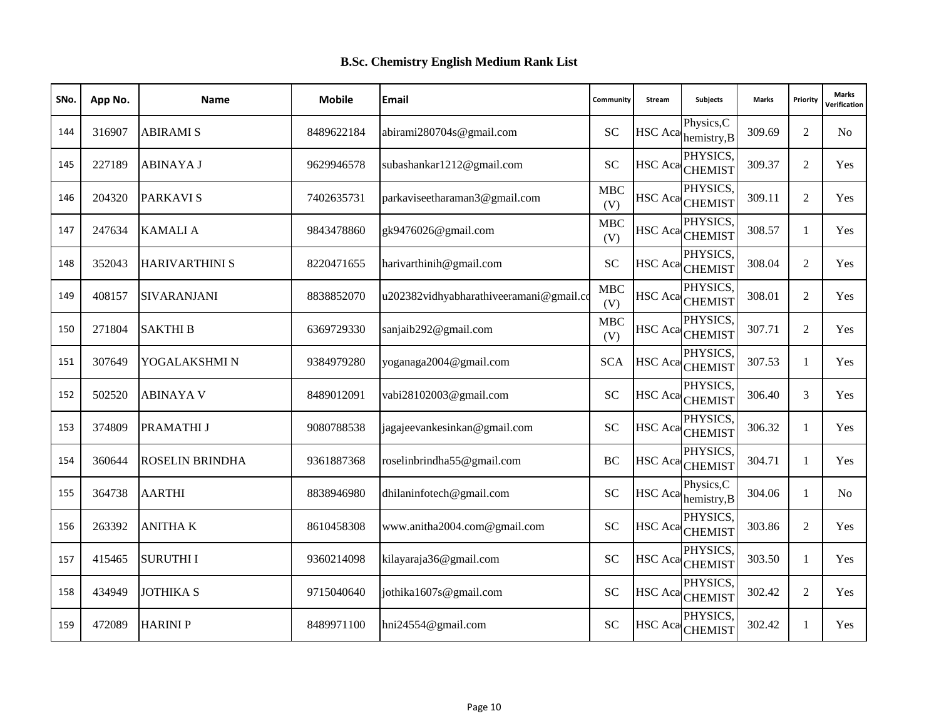| SNo. | App No. | <b>Name</b>            | <b>Mobile</b> | Email                                   | Community          | Stream         | <b>Subjects</b>                        | <b>Marks</b> | Priority       | <b>Marks</b><br><b>/erification</b> |
|------|---------|------------------------|---------------|-----------------------------------------|--------------------|----------------|----------------------------------------|--------------|----------------|-------------------------------------|
| 144  | 316907  | <b>ABIRAMI S</b>       | 8489622184    | abirami280704s@gmail.com                | <b>SC</b>          | <b>HSC</b> Aca | Physics, C<br>hemistry, B              | 309.69       | 2              | No                                  |
| 145  | 227189  | <b>ABINAYA J</b>       | 9629946578    | subashankar1212@gmail.com               | SC                 |                | PHYSICS.<br>HSC Aca CHEMIST            | 309.37       | 2              | Yes                                 |
| 146  | 204320  | <b>PARKAVIS</b>        | 7402635731    | parkaviseetharaman3@gmail.com           | <b>MBC</b><br>(V)  |                | PHYSICS.<br>HSC Aca CHEMIST            | 309.11       | 2              | Yes                                 |
| 147  | 247634  | <b>KAMALIA</b>         | 9843478860    | gk9476026@gmail.com                     | MBC<br>(V)         | HSC Aca        | PHYSICS.<br><b>CHEMIST</b>             | 308.57       | $\mathbf{1}$   | Yes                                 |
| 148  | 352043  | <b>HARIVARTHINI S</b>  | 8220471655    | harivarthinih@gmail.com                 | <b>SC</b>          | <b>HSC</b> Aca | PHYSICS.<br><b>CHEMIST</b>             | 308.04       | 2              | Yes                                 |
| 149  | 408157  | <b>SIVARANJANI</b>     | 8838852070    | u202382vidhyabharathiveeramani@gmail.co | <b>MBC</b><br>(V)  |                | PHYSICS.<br>HSC Aca CHEMIST            | 308.01       | $\overline{2}$ | <b>Yes</b>                          |
| 150  | 271804  | <b>SAKTHIB</b>         | 6369729330    | sanjaib292@gmail.com                    | ${\bf MBC}$<br>(V) |                | PHYSICS,<br>HSC Aca <sub>CHEMIST</sub> | 307.71       | 2              | Yes                                 |
| 151  | 307649  | YOGALAKSHMI N          | 9384979280    | yoganaga2004@gmail.com                  | <b>SCA</b>         | <b>HSC</b> Aca | PHYSICS,<br><b>CHEMIST</b>             | 307.53       | 1              | Yes                                 |
| 152  | 502520  | <b>ABINAYA V</b>       | 8489012091    | vabi28102003@gmail.com                  | <b>SC</b>          |                | PHYSICS.<br>HSC Aca CHEMIST            | 306.40       | 3              | Yes                                 |
| 153  | 374809  | PRAMATHI J             | 9080788538    | jagajeevankesinkan@gmail.com            | <b>SC</b>          |                | PHYSICS,<br>HSC Aca <sub>CHEMIST</sub> | 306.32       | $\mathbf{1}$   | Yes                                 |
| 154  | 360644  | <b>ROSELIN BRINDHA</b> | 9361887368    | roselinbrindha55@gmail.com              | BC                 | <b>HSC</b> Aca | PHYSICS.<br><b>CHEMIST</b>             | 304.71       | $\mathbf{1}$   | Yes                                 |
| 155  | 364738  | <b>AARTHI</b>          | 8838946980    | dhilaninfotech@gmail.com                | <b>SC</b>          | <b>HSC</b> Aca | Physics, C<br>hemistry, B              | 304.06       | 1              | N <sub>0</sub>                      |
| 156  | 263392  | <b>ANITHAK</b>         | 8610458308    | www.anitha2004.com@gmail.com            | <b>SC</b>          |                | PHYSICS.<br>HSC Aca CHEMIST            | 303.86       | 2              | Yes                                 |
| 157  | 415465  | <b>SURUTHII</b>        | 9360214098    | kilayaraja36@gmail.com                  | <b>SC</b>          |                | PHYSICS,<br>HSC Aca CHEMIST            | 303.50       | $\mathbf{1}$   | Yes                                 |
| 158  | 434949  | <b>JOTHIKA S</b>       | 9715040640    | jothika1607s@gmail.com                  | <b>SC</b>          |                | PHYSICS.<br>HSC Aca CHEMIST            | 302.42       | 2              | <b>Yes</b>                          |
| 159  | 472089  | <b>HARINIP</b>         | 8489971100    | hni24554@gmail.com                      | <b>SC</b>          |                | PHYSICS,<br>HSC Aca CHEMIST            | 302.42       | $\mathbf{1}$   | Yes                                 |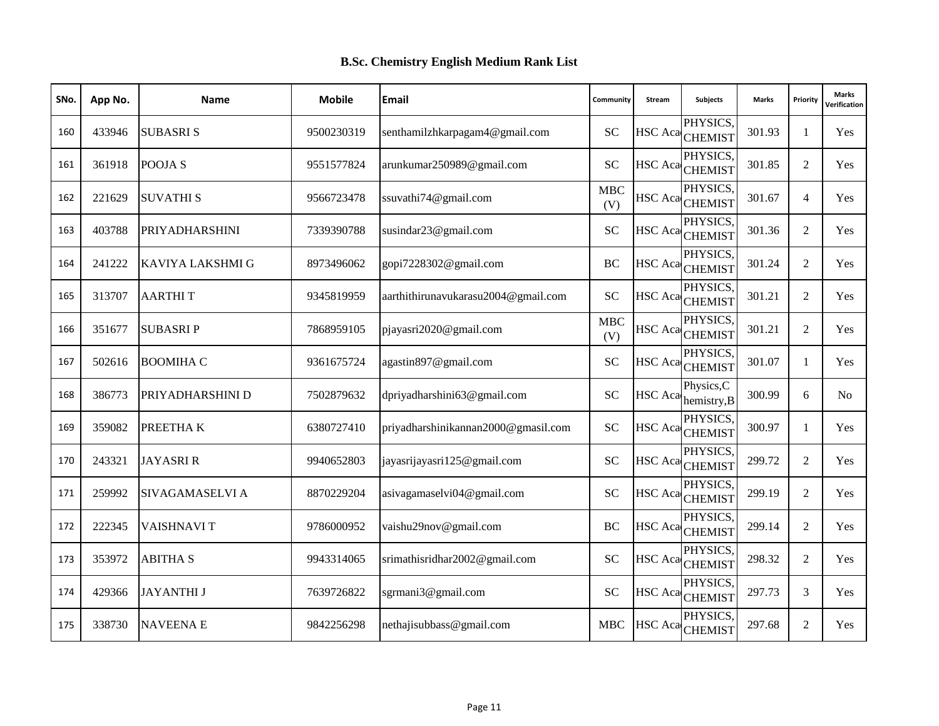| SNo. | App No. | <b>Name</b>             | <b>Mobile</b> | Email                               | Community         | Stream         | <b>Subjects</b>                        | <b>Marks</b> | Priority       | <b>Marks</b><br><b>/erification</b> |
|------|---------|-------------------------|---------------|-------------------------------------|-------------------|----------------|----------------------------------------|--------------|----------------|-------------------------------------|
| 160  | 433946  | <b>SUBASRIS</b>         | 9500230319    | senthamilzhkarpagam4@gmail.com      | <b>SC</b>         |                | PHYSICS,<br>HSC Aca CHEMIST            | 301.93       | 1              | Yes                                 |
| 161  | 361918  | POOJA <sub>S</sub>      | 9551577824    | arunkumar250989@gmail.com           | SC                |                | PHYSICS.<br>HSC Aca CHEMIST            | 301.85       | 2              | Yes                                 |
| 162  | 221629  | <b>SUVATHIS</b>         | 9566723478    | ssuvathi74@gmail.com                | <b>MBC</b><br>(V) |                | PHYSICS.<br>HSC Aca CHEMIST            | 301.67       | $\overline{4}$ | Yes                                 |
| 163  | 403788  | <b>PRIYADHARSHINI</b>   | 7339390788    | susindar23@gmail.com                | <b>SC</b>         | <b>HSC</b> Aca | PHYSICS.<br><b>CHEMIST</b>             | 301.36       | $\overline{2}$ | Yes                                 |
| 164  | 241222  | <b>KAVIYA LAKSHMI G</b> | 8973496062    | gopi7228302@gmail.com               | BC                |                | PHYSICS.<br>HSC Aca <sub>CHEMIST</sub> | 301.24       | 2              | Yes                                 |
| 165  | 313707  | <b>AARTHIT</b>          | 9345819959    | aarthithirunavukarasu2004@gmail.com | <b>SC</b>         |                | PHYSICS.<br>HSC Aca CHEMIST            | 301.21       | $\overline{2}$ | Yes                                 |
| 166  | 351677  | <b>SUBASRIP</b>         | 7868959105    | pjayasri2020@gmail.com              | <b>MBC</b><br>(V) |                | PHYSICS,<br>HSC Aca <sub>CHEMIST</sub> | 301.21       | 2              | Yes                                 |
| 167  | 502616  | <b>BOOMIHA C</b>        | 9361675724    | agastin897@gmail.com                | <b>SC</b>         | <b>HSC</b> Aca | PHYSICS.<br><b>CHEMIST</b>             | 301.07       | 1              | Yes                                 |
| 168  | 386773  | PRIYADHARSHINI D        | 7502879632    | dpriyadharshini63@gmail.com         | <b>SC</b>         | <b>HSC</b> Aca | Physics, C<br>hemistry, B              | 300.99       | 6              | N <sub>0</sub>                      |
| 169  | 359082  | PREETHAK                | 6380727410    | priyadharshinikannan2000@gmasil.com | <b>SC</b>         |                | PHYSICS,<br>HSC Aca <sub>CHEMIST</sub> | 300.97       | $\mathbf{1}$   | Yes                                 |
| 170  | 243321  | <b>JAYASRIR</b>         | 9940652803    | jayasrijayasri125@gmail.com         | <b>SC</b>         |                | PHYSICS,<br>HSC Aca <sub>CHEMIST</sub> | 299.72       | 2              | Yes                                 |
| 171  | 259992  | SIVAGAMASELVI A         | 8870229204    | asivagamaselvi04@gmail.com          | <b>SC</b>         |                | PHYSICS.<br>HSC Aca CHEMIST            | 299.19       | 2              | Yes                                 |
| 172  | 222345  | VAISHNAVI T             | 9786000952    | vaishu29nov@gmail.com               | <b>BC</b>         |                | PHYSICS.<br>HSC Aca <sub>CHEMIST</sub> | 299.14       | 2              | Yes                                 |
| 173  | 353972  | <b>ABITHA S</b>         | 9943314065    | srimathisridhar2002@gmail.com       | <b>SC</b>         |                | PHYSICS,<br>HSC Aca CHEMIST            | 298.32       | 2              | Yes                                 |
| 174  | 429366  | <b>JAYANTHI J</b>       | 7639726822    | sgrmani3@gmail.com                  | <b>SC</b>         |                | PHYSICS.<br>HSC Aca CHEMIST            | 297.73       | 3              | <b>Yes</b>                          |
| 175  | 338730  | <b>NAVEENAE</b>         | 9842256298    | nethajisubbass@gmail.com            | <b>MBC</b>        |                | PHYSICS,<br>HSC Aca CHEMIST            | 297.68       | 2              | Yes                                 |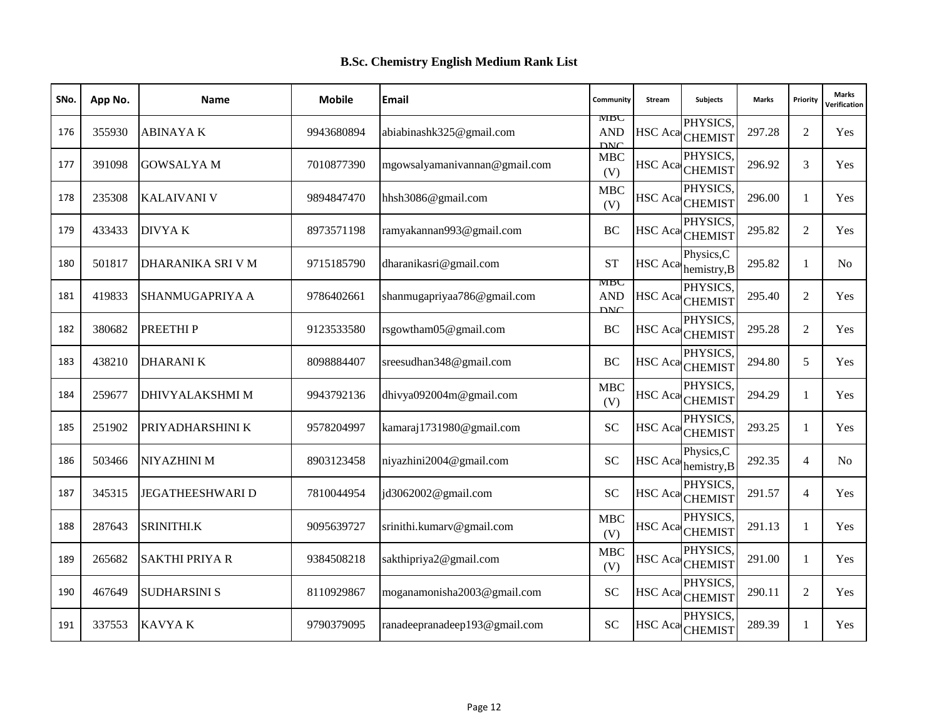| SNo. | App No. | <b>Name</b>             | <b>Mobile</b> | Email                         | Community                       | Stream         | <b>Subjects</b>                        | <b>Marks</b> | Priority       | <b>Marks</b><br><b>/erification</b> |
|------|---------|-------------------------|---------------|-------------------------------|---------------------------------|----------------|----------------------------------------|--------------|----------------|-------------------------------------|
| 176  | 355930  | <b>ABINAYAK</b>         | 9943680894    | abiabinashk325@gmail.com      | MBC<br><b>AND</b><br><b>DNC</b> |                | PHYSICS,<br>HSC Aca CHEMIST            | 297.28       | 2              | Yes                                 |
| 177  | 391098  | <b>GOWSALYAM</b>        | 7010877390    | mgowsalyamanivannan@gmail.com | <b>MBC</b><br>(V)               |                | PHYSICS.<br>HSC Aca CHEMIST            | 296.92       | 3              | Yes                                 |
| 178  | 235308  | <b>KALAIVANI V</b>      | 9894847470    | hhsh3086@gmail.com            | <b>MBC</b><br>(V)               |                | PHYSICS,<br>HSC Aca CHEMIST            | 296.00       | 1              | Yes                                 |
| 179  | 433433  | DIVYA K                 | 8973571198    | ramyakannan993@gmail.com      | <b>BC</b>                       | <b>HSC</b> Aca | PHYSICS.<br><b>CHEMIST</b>             | 295.82       | $\overline{2}$ | Yes                                 |
| 180  | 501817  | DHARANIKA SRI V M       | 9715185790    | dharanikasri@gmail.com        | <b>ST</b>                       | HSC Aca        | Physics, C<br>hemistry, B              | 295.82       | 1              | N <sub>0</sub>                      |
| 181  | 419833  | SHANMUGAPRIYA A         | 9786402661    | shanmugapriyaa786@gmail.com   | MBC<br><b>AND</b><br><b>DNC</b> |                | PHYSICS.<br>HSC Aca CHEMIST            | 295.40       | 2              | Yes                                 |
| 182  | 380682  | PREETHI P               | 9123533580    | rsgowtham05@gmail.com         | <b>BC</b>                       |                | PHYSICS,<br>HSC Aca <sub>CHEMIST</sub> | 295.28       | 2              | Yes                                 |
| 183  | 438210  | <b>DHARANIK</b>         | 8098884407    | sreesudhan348@gmail.com       | BC                              |                | PHYSICS.<br>HSC Aca CHEMIST            | 294.80       | 5              | Yes                                 |
| 184  | 259677  | <b>DHIVYALAKSHMI M</b>  | 9943792136    | dhivya092004m@gmail.com       | <b>MBC</b><br>(V)               |                | PHYSICS.<br>HSC Aca CHEMIST            | 294.29       | $\mathbf{1}$   | Yes                                 |
| 185  | 251902  | PRIYADHARSHINI K        | 9578204997    | kamaraj1731980@gmail.com      | <b>SC</b>                       | <b>HSC</b> Aca | PHYSICS.<br><b>CHEMIST</b>             | 293.25       | $\mathbf{1}$   | Yes                                 |
| 186  | 503466  | NIYAZHINI M             | 8903123458    | niyazhini2004@gmail.com       | <b>SC</b>                       | <b>HSC</b> Aca | Physics, C<br>hemistry, B              | 292.35       | $\overline{4}$ | No                                  |
| 187  | 345315  | <b>JEGATHEESHWARI D</b> | 7810044954    | jd3062002@gmail.com           | <b>SC</b>                       |                | PHYSICS.<br>HSC Aca CHEMIST            | 291.57       | $\overline{4}$ | <b>Yes</b>                          |
| 188  | 287643  | SRINITHI.K              | 9095639727    | srinithi.kumarv@gmail.com     | MBC<br>(V)                      |                | PHYSICS.<br>HSC Aca <sub>CHEMIST</sub> | 291.13       | 1              | Yes                                 |
| 189  | 265682  | <b>SAKTHI PRIYA R</b>   | 9384508218    | sakthipriya2@gmail.com        | <b>MBC</b><br>(V)               | <b>HSC</b> Aca | PHYSICS,<br><b>CHEMIST</b>             | 291.00       | $\mathbf{1}$   | Yes                                 |
| 190  | 467649  | <b>SUDHARSINI S</b>     | 8110929867    | moganamonisha2003@gmail.com   | <b>SC</b>                       |                | PHYSICS.<br>HSC Aca CHEMIST            | 290.11       | $\overline{c}$ | <b>Yes</b>                          |
| 191  | 337553  | <b>KAVYAK</b>           | 9790379095    | ranadeepranadeep193@gmail.com | <b>SC</b>                       |                | PHYSICS.<br>HSC Aca CHEMIST            | 289.39       | 1              | Yes                                 |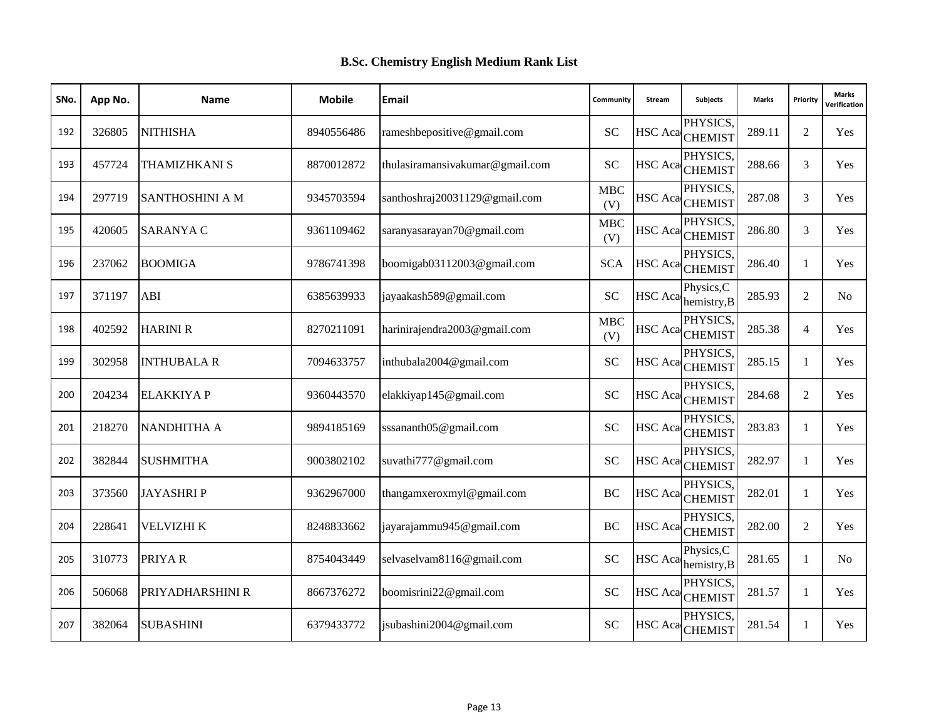| SNo. | App No. | <b>Name</b>            | <b>Mobile</b> | Email                           | Community         | Stream  | Subjects                               | <b>Marks</b> | Priority       | <b>Marks</b><br>Verification |
|------|---------|------------------------|---------------|---------------------------------|-------------------|---------|----------------------------------------|--------------|----------------|------------------------------|
| 192  | 326805  | <b>NITHISHA</b>        | 8940556486    | rameshbepositive@gmail.com      | <b>SC</b>         |         | PHYSICS,<br>HSC Aca CHEMIST            | 289.11       | $\overline{2}$ | Yes                          |
| 193  | 457724  | <b>THAMIZHKANI S</b>   | 8870012872    | thulasiramansivakumar@gmail.com | <b>SC</b>         |         | PHYSICS.<br>HSC Aca CHEMIST            | 288.66       | 3              | Yes                          |
| 194  | 297719  | <b>SANTHOSHINI A M</b> | 9345703594    | santhoshraj20031129@gmail.com   | MBC<br>(V)        |         | PHYSICS,<br>HSC Aca <sub>CHEMIST</sub> | 287.08       | 3              | Yes                          |
| 195  | 420605  | <b>SARANYA C</b>       | 9361109462    | saranyasarayan70@gmail.com      | <b>MBC</b><br>(V) | HSC Aca | PHYSICS.<br><b>CHEMIST</b>             | 286.80       | 3              | Yes                          |
| 196  | 237062  | <b>BOOMIGA</b>         | 9786741398    | boomigab03112003@gmail.com      | <b>SCA</b>        |         | PHYSICS,<br>HSC Aca CHEMIST            | 286.40       | -1             | Yes                          |
| 197  | 371197  | ABI                    | 6385639933    | jayaakash589@gmail.com          | <b>SC</b>         |         | Physics, C<br>$HSC$ Aca hemistry, B    | 285.93       | 2              | No                           |
| 198  | 402592  | <b>HARINI R</b>        | 8270211091    | harinirajendra2003@gmail.com    | <b>MBC</b><br>(V) |         | PHYSICS.<br>HSC Aca CHEMIST            | 285.38       | $\overline{4}$ | Yes                          |
| 199  | 302958  | <b>INTHUBALA R</b>     | 7094633757    | inthubala2004@gmail.com         | <b>SC</b>         |         | PHYSICS,<br>HSC Aca CHEMIST            | 285.15       | $\mathbf{1}$   | Yes                          |
| 200  | 204234  | <b>ELAKKIYA P</b>      | 9360443570    | elakkiyap145@gmail.com          | <b>SC</b>         |         | PHYSICS,<br>HSC Aca CHEMIST            | 284.68       | $\overline{2}$ | Yes                          |
| 201  | 218270  | <b>NANDHITHA A</b>     | 9894185169    | sssananth05@gmail.com           | <b>SC</b>         |         | PHYSICS.<br>HSC Aca CHEMIST            | 283.83       | $\mathbf{1}$   | Yes                          |
| 202  | 382844  | <b>SUSHMITHA</b>       | 9003802102    | suvathi777@gmail.com            | <b>SC</b>         |         | PHYSICS.<br>HSC Aca CHEMIST            | 282.97       | -1             | Yes                          |
| 203  | 373560  | <b>JAYASHRIP</b>       | 9362967000    | thangamxeroxmyl@gmail.com       | <b>BC</b>         |         | PHYSICS.<br>HSC Aca CHEMIST            | 282.01       | $\overline{1}$ | Yes                          |
| 204  | 228641  | VELVIZHI K             | 8248833662    | jayarajammu945@gmail.com        | BC                |         | PHYSICS.<br>HSC Aca CHEMIST            | 282.00       | $\overline{2}$ | Yes                          |
| 205  | 310773  | PRIYAR                 | 8754043449    | selvaselvam8116@gmail.com       | <b>SC</b>         |         | Physics, C<br>HSC Aca hemistry, B      | 281.65       | -1             | N <sub>0</sub>               |
| 206  | 506068  | PRIYADHARSHINI R       | 8667376272    | boomisrini22@gmail.com          | <b>SC</b>         |         | PHYSICS,<br>HSC Aca CHEMIST            | 281.57       | 1              | Yes                          |
| 207  | 382064  | <b>SUBASHINI</b>       | 6379433772    | jsubashini2004@gmail.com        | <b>SC</b>         |         | PHYSICS.<br>HSC Aca CHEMIST            | 281.54       | -1             | Yes                          |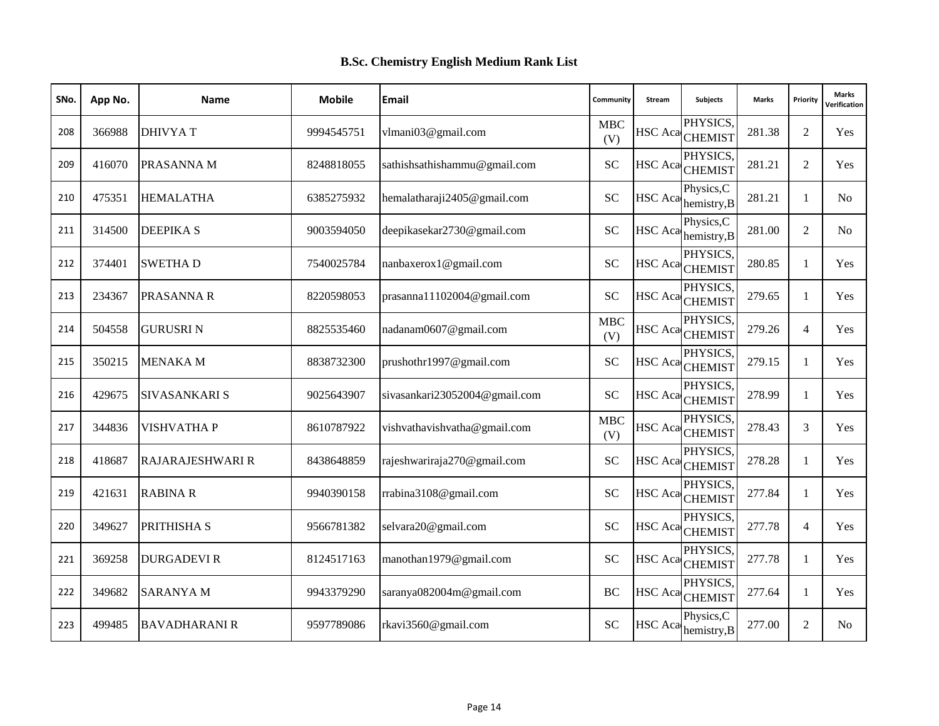| SNo. | App No. | <b>Name</b>          | <b>Mobile</b> | Email                         | Community         | Stream         | Subjects                               | <b>Marks</b> | Priority       | <b>Marks</b><br>Verification |
|------|---------|----------------------|---------------|-------------------------------|-------------------|----------------|----------------------------------------|--------------|----------------|------------------------------|
| 208  | 366988  | <b>DHIVYA T</b>      | 9994545751    | vlmani03@gmail.com            | MBC<br>(V)        |                | PHYSICS.<br>HSC Aca CHEMIST            | 281.38       | $\overline{2}$ | Yes                          |
| 209  | 416070  | PRASANNA M           | 8248818055    | sathishsathishammu@gmail.com  | <b>SC</b>         |                | PHYSICS.<br>HSC Aca CHEMIST            | 281.21       | 2              | Yes                          |
| 210  | 475351  | <b>HEMALATHA</b>     | 6385275932    | hemalatharaji2405@gmail.com   | <b>SC</b>         |                | Physics, C<br>HSC Aca hemistry, B      | 281.21       | 1              | N <sub>o</sub>               |
| 211  | 314500  | <b>DEEPIKA S</b>     | 9003594050    | deepikasekar2730@gmail.com    | <b>SC</b>         | <b>HSC</b> Aca | Physics, C<br>hemistry, B              | 281.00       | $\overline{2}$ | No.                          |
| 212  | 374401  | <b>SWETHAD</b>       | 7540025784    | nanbaxerox1@gmail.com         | <b>SC</b>         |                | PHYSICS,<br>HSC Aca CHEMIST            | 280.85       | -1             | Yes                          |
| 213  | 234367  | <b>PRASANNA R</b>    | 8220598053    | prasanna11102004@gmail.com    | <b>SC</b>         |                | PHYSICS,<br>HSC Aca <sub>CHEMIST</sub> | 279.65       | $\mathbf{1}$   | Yes                          |
| 214  | 504558  | <b>GURUSRIN</b>      | 8825535460    | nadanam0607@gmail.com         | <b>MBC</b><br>(V) |                | PHYSICS.<br>HSC Aca CHEMIST            | 279.26       | $\overline{4}$ | Yes                          |
| 215  | 350215  | <b>MENAKA M</b>      | 8838732300    | prushothr1997@gmail.com       | <b>SC</b>         |                | PHYSICS,<br>HSC Aca <sub>CHEMIST</sub> | 279.15       | -1             | Yes                          |
| 216  | 429675  | <b>SIVASANKARI S</b> | 9025643907    | sivasankari23052004@gmail.com | <b>SC</b>         |                | PHYSICS,<br>HSC Aca CHEMIST            | 278.99       | 1              | Yes                          |
| 217  | 344836  | <b>VISHVATHA P</b>   | 8610787922    | vishvathavishvatha@gmail.com  | <b>MBC</b><br>(V) |                | PHYSICS.<br>HSC Aca CHEMIST            | 278.43       | 3              | Yes                          |
| 218  | 418687  | RAJARAJESHWARI R     | 8438648859    | rajeshwariraja270@gmail.com   | <b>SC</b>         |                | PHYSICS,<br>HSC Aca CHEMIST            | 278.28       | -1             | Yes                          |
| 219  | 421631  | <b>RABINA R</b>      | 9940390158    | rrabina3108@gmail.com         | <b>SC</b>         |                | PHYSICS.<br>HSC Aca CHEMIST            | 277.84       | $\mathbf{1}$   | Yes                          |
| 220  | 349627  | PRITHISHA S          | 9566781382    | selvara20@gmail.com           | <b>SC</b>         |                | PHYSICS.<br>HSC Aca CHEMIST            | 277.78       | $\overline{4}$ | Yes                          |
| 221  | 369258  | <b>DURGADEVIR</b>    | 8124517163    | manothan1979@gmail.com        | <b>SC</b>         |                | PHYSICS,<br>HSC Aca CHEMIST            | 277.78       | -1             | Yes                          |
| 222  | 349682  | <b>SARANYA M</b>     | 9943379290    | saranya082004m@gmail.com      | BC                |                | PHYSICS,<br>HSC Aca CHEMIST            | 277.64       | -1             | Yes                          |
| 223  | 499485  | <b>BAVADHARANI R</b> | 9597789086    | rkavi3560@gmail.com           | <b>SC</b>         |                | Physics, C<br>HSC Aca hemistry, B      | 277.00       | $\overline{2}$ | N <sub>o</sub>               |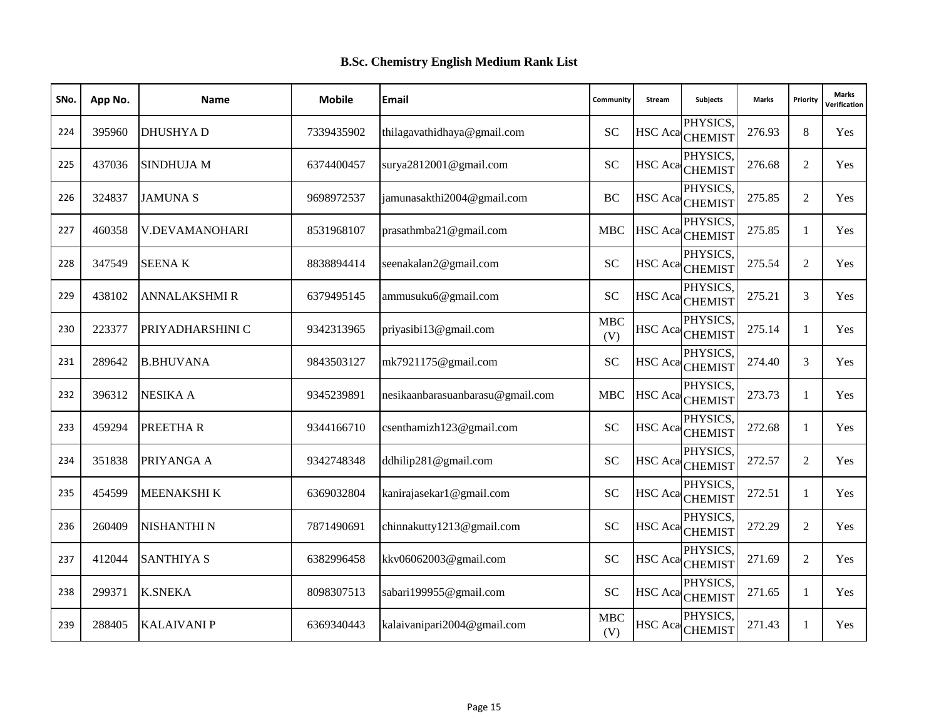| SNo. | App No. | <b>Name</b>          | <b>Mobile</b> | Email                            | Community         | Stream | Subjects                               | <b>Marks</b> | Priority       | <b>Marks</b><br>Verification |
|------|---------|----------------------|---------------|----------------------------------|-------------------|--------|----------------------------------------|--------------|----------------|------------------------------|
| 224  | 395960  | <b>DHUSHYAD</b>      | 7339435902    | thilagavathidhaya@gmail.com      | <b>SC</b>         |        | PHYSICS,<br>HSC Aca CHEMIST            | 276.93       | 8              | Yes                          |
| 225  | 437036  | <b>SINDHUJA M</b>    | 6374400457    | surya2812001@gmail.com           | <b>SC</b>         |        | PHYSICS.<br>HSC Aca CHEMIST            | 276.68       | 2              | Yes                          |
| 226  | 324837  | <b>JAMUNAS</b>       | 9698972537    | jamunasakthi2004@gmail.com       | BC                |        | PHYSICS,<br>HSC Aca CHEMIST            | 275.85       | $\mathfrak{2}$ | Yes                          |
| 227  | 460358  | V.DEVAMANOHARI       | 8531968107    | prasathmba21@gmail.com           | <b>MBC</b>        |        | PHYSICS.<br>HSC Aca CHEMIST            | 275.85       | $\mathbf{1}$   | Yes                          |
| 228  | 347549  | <b>SEENAK</b>        | 8838894414    | seenakalan2@gmail.com            | <b>SC</b>         |        | PHYSICS,<br>HSC Aca CHEMIST            | 275.54       | 2              | Yes                          |
| 229  | 438102  | <b>ANNALAKSHMI R</b> | 6379495145    | ammusuku6@gmail.com              | <b>SC</b>         |        | PHYSICS,<br>HSC Aca CHEMIST            | 275.21       | 3              | Yes                          |
| 230  | 223377  | PRIYADHARSHINI C     | 9342313965    | priyasibi13@gmail.com            | <b>MBC</b><br>(V) |        | PHYSICS.<br>HSC Aca CHEMIST            | 275.14       | -1             | Yes                          |
| 231  | 289642  | <b>B.BHUVANA</b>     | 9843503127    | mk7921175@gmail.com              | <b>SC</b>         |        | PHYSICS,<br>HSC Aca <sub>CHEMIST</sub> | 274.40       | 3              | Yes                          |
| 232  | 396312  | <b>NESIKA A</b>      | 9345239891    | nesikaanbarasuanbarasu@gmail.com | <b>MBC</b>        |        | PHYSICS,<br>HSC Aca CHEMIST            | 273.73       | 1              | Yes                          |
| 233  | 459294  | PREETHAR             | 9344166710    | csenthamizh123@gmail.com         | <b>SC</b>         |        | PHYSICS.<br>HSC Aca CHEMIST            | 272.68       | $\mathbf{1}$   | Yes                          |
| 234  | 351838  | PRIYANGA A           | 9342748348    | ddhilip281@gmail.com             | <b>SC</b>         |        | PHYSICS.<br>HSC Aca CHEMIST            | 272.57       | 2              | Yes                          |
| 235  | 454599  | <b>MEENAKSHIK</b>    | 6369032804    | kanirajasekar1@gmail.com         | <b>SC</b>         |        | PHYSICS.<br>HSC Aca CHEMIST            | 272.51       | $\mathbf{1}$   | Yes                          |
| 236  | 260409  | <b>NISHANTHI N</b>   | 7871490691    | chinnakutty1213@gmail.com        | <b>SC</b>         |        | PHYSICS.<br>HSC Aca CHEMIST            | 272.29       | $\overline{2}$ | Yes                          |
| 237  | 412044  | <b>SANTHIYA S</b>    | 6382996458    | kkv06062003@gmail.com            | <b>SC</b>         |        | PHYSICS.<br>HSC Aca CHEMIST            | 271.69       | 2              | Yes                          |
| 238  | 299371  | <b>K.SNEKA</b>       | 8098307513    | sabari199955@gmail.com           | <b>SC</b>         |        | PHYSICS,<br>HSC Aca CHEMIST            | 271.65       | -1             | Yes                          |
| 239  | 288405  | <b>KALAIVANI P</b>   | 6369340443    | kalaivanipari2004@gmail.com      | <b>MBC</b><br>(V) |        | PHYSICS.<br>HSC Aca CHEMIST            | 271.43       | -1             | Yes                          |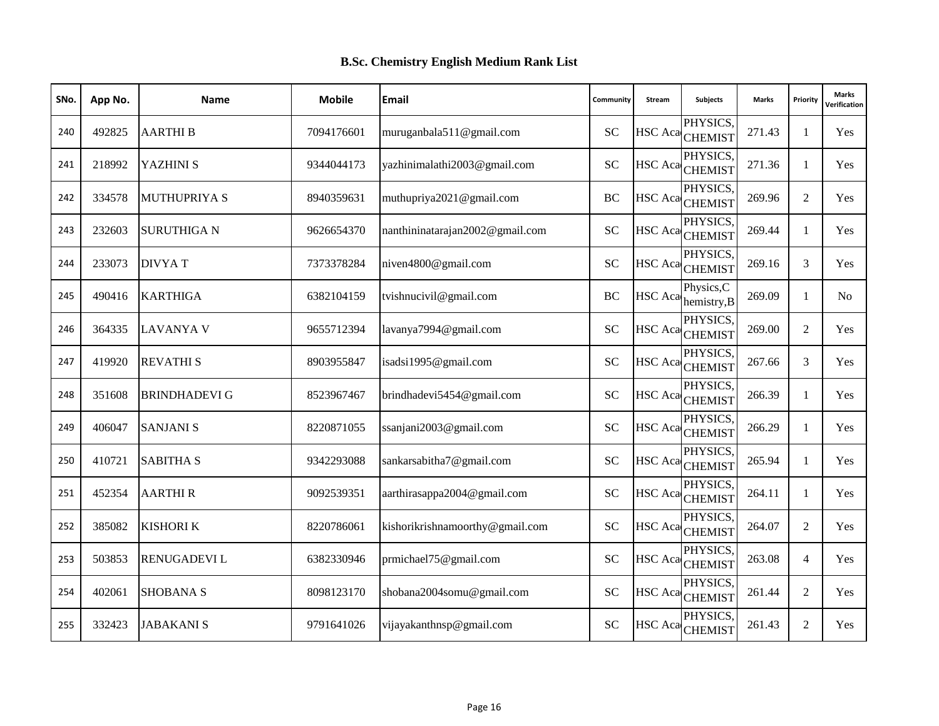| SNo. | App No. | <b>Name</b>          | <b>Mobile</b> | Email                           | Community | Stream | Subjects                          | <b>Marks</b> | Priority       | <b>Marks</b><br>Verification |
|------|---------|----------------------|---------------|---------------------------------|-----------|--------|-----------------------------------|--------------|----------------|------------------------------|
| 240  | 492825  | <b>AARTHIB</b>       | 7094176601    | muruganbala511@gmail.com        | <b>SC</b> |        | PHYSICS,<br>HSC Aca CHEMIST       | 271.43       | 1              | Yes                          |
| 241  | 218992  | <b>YAZHINI S</b>     | 9344044173    | yazhinimalathi2003@gmail.com    | <b>SC</b> |        | PHYSICS.<br>HSC Aca CHEMIST       | 271.36       | -1             | Yes                          |
| 242  | 334578  | <b>MUTHUPRIYAS</b>   | 8940359631    | muthupriya2021@gmail.com        | BC        |        | PHYSICS,<br>HSC Aca CHEMIST       | 269.96       | $\overline{2}$ | Yes                          |
| 243  | 232603  | <b>SURUTHIGAN</b>    | 9626654370    | nanthininatarajan2002@gmail.com | <b>SC</b> |        | PHYSICS.<br>HSC Aca CHEMIST       | 269.44       | $\mathbf{1}$   | Yes                          |
| 244  | 233073  | <b>DIVYAT</b>        | 7373378284    | niven4800@gmail.com             | <b>SC</b> |        | PHYSICS,<br>HSC Aca CHEMIST       | 269.16       | 3              | Yes                          |
| 245  | 490416  | <b>KARTHIGA</b>      | 6382104159    | tvishnucivil@gmail.com          | <b>BC</b> |        | Physics, C<br>HSC Aca hemistry, B | 269.09       | $\mathbf{1}$   | No                           |
| 246  | 364335  | <b>LAVANYA V</b>     | 9655712394    | lavanya7994@gmail.com           | <b>SC</b> |        | PHYSICS.<br>HSC Aca CHEMIST       | 269.00       | $\mathfrak{2}$ | Yes                          |
| 247  | 419920  | <b>REVATHIS</b>      | 8903955847    | isadsi1995@gmail.com            | <b>SC</b> |        | PHYSICS,<br>HSC Aca CHEMIST       | 267.66       | 3              | Yes                          |
| 248  | 351608  | <b>BRINDHADEVI G</b> | 8523967467    | brindhadevi5454@gmail.com       | <b>SC</b> |        | PHYSICS,<br>HSC Aca CHEMIST       | 266.39       | 1              | Yes                          |
| 249  | 406047  | <b>SANJANI S</b>     | 8220871055    | ssanjani2003@gmail.com          | <b>SC</b> |        | PHYSICS.<br>HSC Aca CHEMIST       | 266.29       | $\mathbf{1}$   | Yes                          |
| 250  | 410721  | <b>SABITHA S</b>     | 9342293088    | sankarsabitha7@gmail.com        | <b>SC</b> |        | PHYSICS,<br>HSC Aca CHEMIST       | 265.94       | -1             | Yes                          |
| 251  | 452354  | <b>AARTHIR</b>       | 9092539351    | aarthirasappa2004@gmail.com     | <b>SC</b> |        | PHYSICS.<br>HSC Aca CHEMIST       | 264.11       | $\overline{1}$ | Yes                          |
| 252  | 385082  | <b>KISHORI K</b>     | 8220786061    | kishorikrishnamoorthy@gmail.com | <b>SC</b> |        | PHYSICS.<br>HSC Aca CHEMIST       | 264.07       | $\overline{2}$ | Yes                          |
| 253  | 503853  | <b>RENUGADEVIL</b>   | 6382330946    | prmichael75@gmail.com           | <b>SC</b> |        | PHYSICS.<br>HSC Aca CHEMIST       | 263.08       | $\overline{4}$ | Yes                          |
| 254  | 402061  | <b>SHOBANA S</b>     | 8098123170    | shobana2004somu@gmail.com       | <b>SC</b> |        | PHYSICS,<br>HSC Aca CHEMIST       | 261.44       | 2              | Yes                          |
| 255  | 332423  | <b>JABAKANI S</b>    | 9791641026    | vijayakanthnsp@gmail.com        | <b>SC</b> |        | PHYSICS.<br>HSC Aca CHEMIST       | 261.43       | $\overline{2}$ | Yes                          |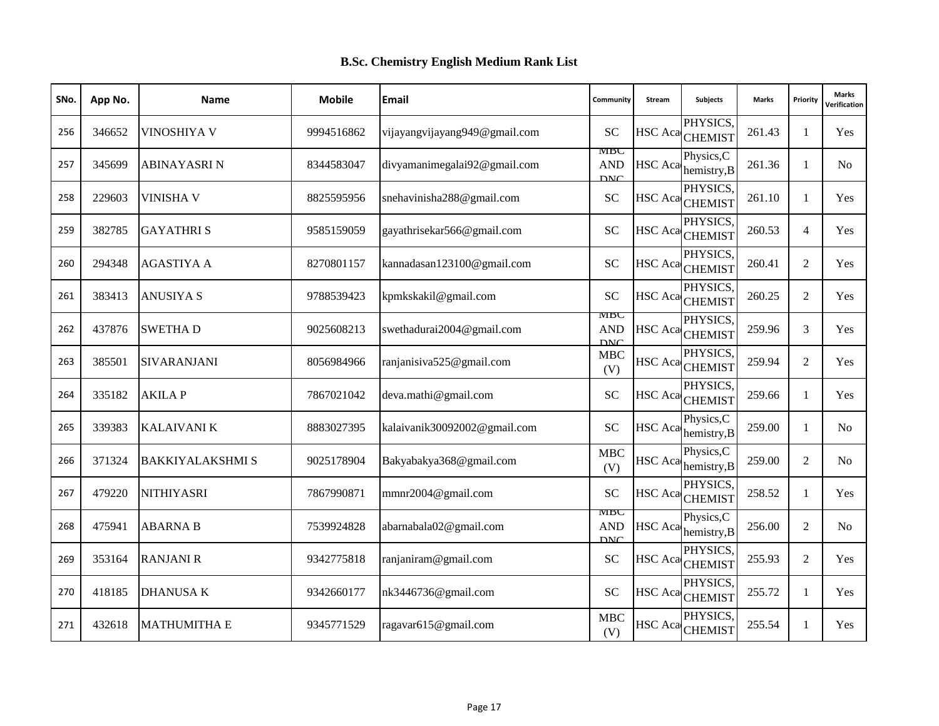| SNo. | App No. | <b>Name</b>             | <b>Mobile</b> | <b>Email</b>                  | Community                       | <b>Stream</b>  | <b>Subjects</b>                        | <b>Marks</b> | Priority       | <b>Marks</b><br><b>/erification</b> |
|------|---------|-------------------------|---------------|-------------------------------|---------------------------------|----------------|----------------------------------------|--------------|----------------|-------------------------------------|
| 256  | 346652  | VINOSHIYA V             | 9994516862    | vijayangvijayang949@gmail.com | <b>SC</b>                       |                | PHYSICS,<br>HSC Aca CHEMIST            | 261.43       | 1              | Yes                                 |
| 257  | 345699  | <b>ABINAYASRI N</b>     | 8344583047    | divyamanimegalai92@gmail.com  | MBC<br><b>AND</b><br><b>DNC</b> | HSC Aca        | Physics, C<br>hemistry, B              | 261.36       | $\mathbf{1}$   | N <sub>0</sub>                      |
| 258  | 229603  | <b>VINISHA V</b>        | 8825595956    | snehavinisha288@gmail.com     | <b>SC</b>                       |                | PHYSICS,<br>HSC Aca CHEMIST            | 261.10       | $\mathbf{1}$   | Yes                                 |
| 259  | 382785  | <b>GAYATHRIS</b>        | 9585159059    | gayathrisekar566@gmail.com    | <b>SC</b>                       | <b>HSC</b> Aca | PHYSICS.<br><b>CHEMIST</b>             | 260.53       | $\overline{4}$ | Yes                                 |
| 260  | 294348  | <b>AGASTIYA A</b>       | 8270801157    | kannadasan123100@gmail.com    | <b>SC</b>                       |                | PHYSICS,<br>HSC Aca <sub>CHEMIST</sub> | 260.41       | 2              | Yes                                 |
| 261  | 383413  | <b>ANUSIYA S</b>        | 9788539423    | kpmkskakil@gmail.com          | SC                              |                | PHYSICS.<br>HSC Aca CHEMIST            | 260.25       | $\overline{2}$ | Yes                                 |
| 262  | 437876  | <b>SWETHAD</b>          | 9025608213    | swethadurai2004@gmail.com     | MBC<br><b>AND</b><br><b>DNC</b> |                | PHYSICS,<br>HSC Aca CHEMIST            | 259.96       | 3              | Yes                                 |
| 263  | 385501  | <b>SIVARANJANI</b>      | 8056984966    | ranjanisiva525@gmail.com      | <b>MBC</b><br>(V)               | HSC Aca        | PHYSICS,<br><b>CHEMIST</b>             | 259.94       | 2              | Yes                                 |
| 264  | 335182  | <b>AKILAP</b>           | 7867021042    | deva.mathi@gmail.com          | <b>SC</b>                       |                | PHYSICS.<br>HSC Aca CHEMIST            | 259.66       | $\mathbf{1}$   | Yes                                 |
| 265  | 339383  | <b>KALAIVANI K</b>      | 8883027395    | kalaivanik30092002@gmail.com  | <b>SC</b>                       | HSC Aca        | Physics, C<br>hemistry, B              | 259.00       | $\mathbf{1}$   | N <sub>0</sub>                      |
| 266  | 371324  | <b>BAKKIYALAKSHMI S</b> | 9025178904    | Bakyabakya368@gmail.com       | <b>MBC</b><br>(V)               | HSC Aca        | Physics, C<br>hemistry, B              | 259.00       | 2              | No.                                 |
| 267  | 479220  | <b>NITHIYASRI</b>       | 7867990871    | mmnr2004@gmail.com            | <b>SC</b>                       |                | PHYSICS.<br>HSC Aca <sub>CHEMIST</sub> | 258.52       | 1              | Yes                                 |
| 268  | 475941  | <b>ABARNA B</b>         | 7539924828    | abarnabala02@gmail.com        | MBC<br><b>AND</b><br><b>DNC</b> | HSC Aca        | Physics, C<br>hemistry, B              | 256.00       | 2              | No.                                 |
| 269  | 353164  | <b>RANJANI R</b>        | 9342775818    | ranjaniram@gmail.com          | <b>SC</b>                       | <b>HSC</b> Aca | PHYSICS.<br><b>CHEMIST</b>             | 255.93       | 2              | Yes                                 |
| 270  | 418185  | <b>DHANUSAK</b>         | 9342660177    | nk3446736@gmail.com           | SC                              |                | PHYSICS.<br>HSC Aca CHEMIST            | 255.72       | 1              | <b>Yes</b>                          |
| 271  | 432618  | <b>MATHUMITHA E</b>     | 9345771529    | ragavar615@gmail.com          | <b>MBC</b><br>(V)               |                | PHYSICS.<br>HSC Aca CHEMIST            | 255.54       | $\mathbf{1}$   | Yes                                 |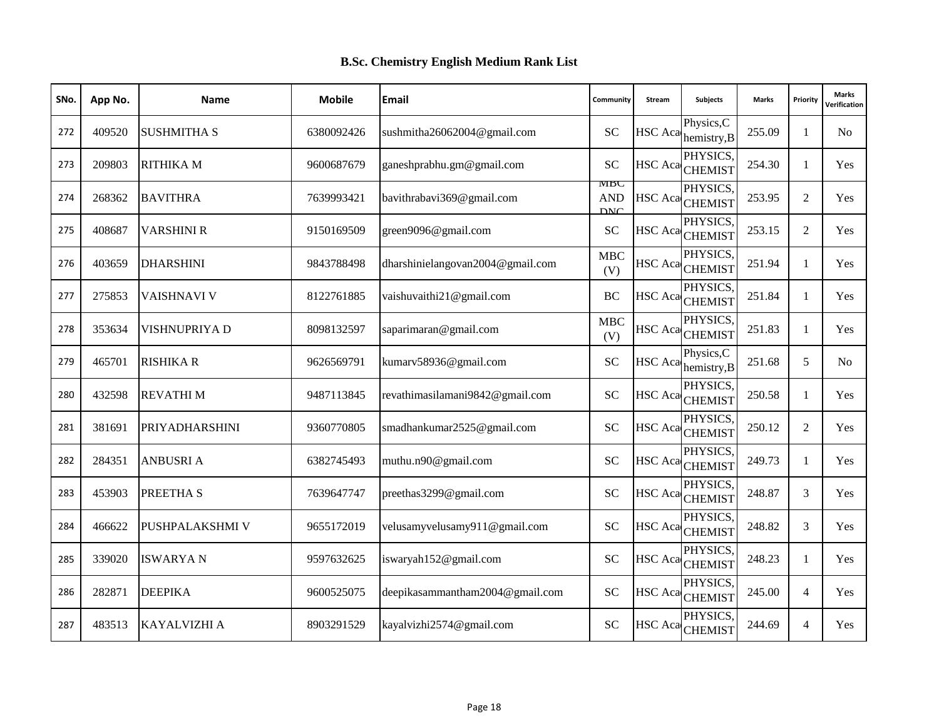| SNo. | App No. | <b>Name</b>           | <b>Mobile</b> | Email                            | Community                       | Stream         | Subjects                               | <b>Marks</b> | Priority       | <b>Marks</b><br>Verification |
|------|---------|-----------------------|---------------|----------------------------------|---------------------------------|----------------|----------------------------------------|--------------|----------------|------------------------------|
| 272  | 409520  | <b>SUSHMITHA S</b>    | 6380092426    | sushmitha26062004@gmail.com      | <b>SC</b>                       | HSC Aca        | Physics, C<br>hemistry, B              | 255.09       | 1              | N <sub>0</sub>               |
| 273  | 209803  | <b>RITHIKA M</b>      | 9600687679    | ganeshprabhu.gm@gmail.com        | SC                              |                | PHYSICS.<br>HSC Aca CHEMIST            | 254.30       | $\mathbf{1}$   | Yes                          |
| 274  | 268362  | <b>BAVITHRA</b>       | 7639993421    | bavithrabavi369@gmail.com        | MBC<br><b>AND</b><br><b>DNC</b> |                | PHYSICS,<br>HSC Aca CHEMIST            | 253.95       | 2              | Yes                          |
| 275  | 408687  | <b>VARSHINI R</b>     | 9150169509    | green9096@gmail.com              | <b>SC</b>                       | HSC Aca        | PHYSICS.<br><b>CHEMIST</b>             | 253.15       | $\overline{2}$ | Yes                          |
| 276  | 403659  | <b>DHARSHINI</b>      | 9843788498    | dharshinielangovan2004@gmail.com | <b>MBC</b><br>(V)               |                | PHYSICS.<br>HSC Aca <sub>CHEMIST</sub> | 251.94       | 1              | Yes                          |
| 277  | 275853  | <b>VAISHNAVI V</b>    | 8122761885    | vaishuvaithi21@gmail.com         | <b>BC</b>                       |                | PHYSICS,<br>HSC Aca CHEMIST            | 251.84       | 1              | Yes                          |
| 278  | 353634  | VISHNUPRIYA D         | 8098132597    | saparimaran@gmail.com            | <b>MBC</b><br>(V)               |                | PHYSICS.<br>HSC Aca CHEMIST            | 251.83       | 1              | Yes                          |
| 279  | 465701  | <b>RISHIKA R</b>      | 9626569791    | kumarv58936@gmail.com            | <b>SC</b>                       | <b>HSC</b> Aca | Physics, C<br>hemistry, B              | 251.68       | 5              | N <sub>0</sub>               |
| 280  | 432598  | <b>REVATHIM</b>       | 9487113845    | revathimasilamani9842@gmail.com  | <b>SC</b>                       |                | PHYSICS,<br>HSC Aca CHEMIST            | 250.58       | $\mathbf{1}$   | Yes                          |
| 281  | 381691  | <b>PRIYADHARSHINI</b> | 9360770805    | smadhankumar2525@gmail.com       | <b>SC</b>                       |                | PHYSICS.<br>HSC Aca CHEMIST            | 250.12       | 2              | Yes                          |
| 282  | 284351  | <b>ANBUSRIA</b>       | 6382745493    | muthu.n90@gmail.com              | <b>SC</b>                       |                | PHYSICS.<br>HSC Aca <sub>CHEMIST</sub> | 249.73       | 1              | Yes                          |
| 283  | 453903  | PREETHA S             | 7639647747    | preethas3299@gmail.com           | <b>SC</b>                       |                | PHYSICS.<br>HSC Aca CHEMIST            | 248.87       | 3              | <b>Yes</b>                   |
| 284  | 466622  | PUSHPALAKSHMI V       | 9655172019    | velusamyvelusamy911@gmail.com    | <b>SC</b>                       |                | PHYSICS,<br>HSC Aca CHEMIST            | 248.82       | 3              | Yes                          |
| 285  | 339020  | <b>ISWARYAN</b>       | 9597632625    | iswaryah152@gmail.com            | <b>SC</b>                       |                | PHYSICS,<br>HSC Aca CHEMIST            | 248.23       | $\mathbf{1}$   | Yes                          |
| 286  | 282871  | <b>DEEPIKA</b>        | 9600525075    | deepikasammantham2004@gmail.com  | <b>SC</b>                       |                | PHYSICS.<br>HSC Aca CHEMIST            | 245.00       | $\overline{4}$ | <b>Yes</b>                   |
| 287  | 483513  | KAYALVIZHI A          | 8903291529    | kayalvizhi2574@gmail.com         | <b>SC</b>                       |                | PHYSICS.<br>HSC Aca CHEMIST            | 244.69       | $\overline{4}$ | Yes                          |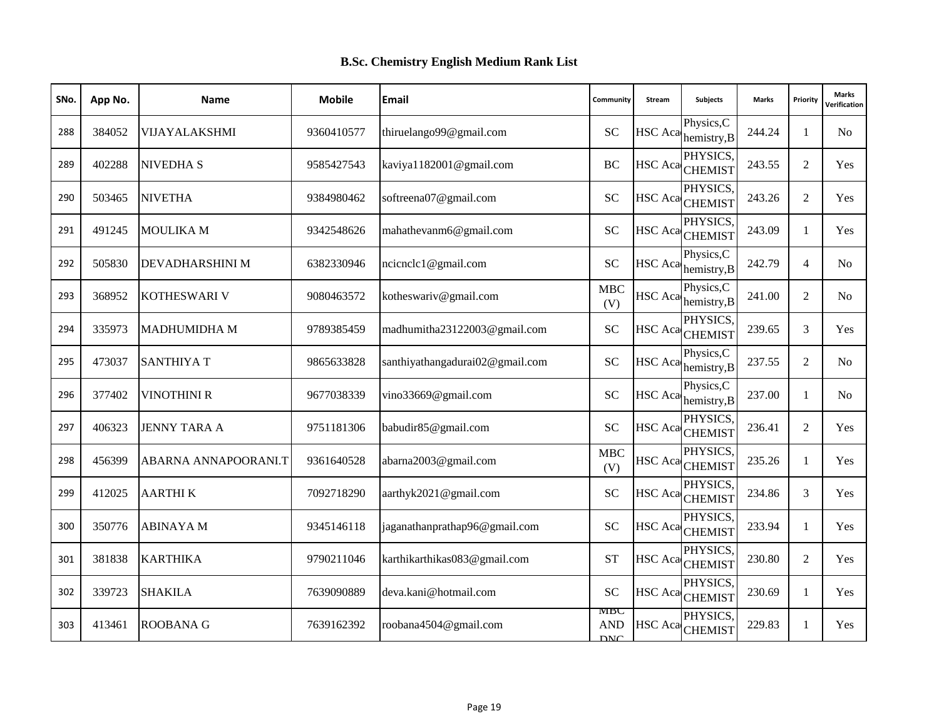| SNo. | App No. | <b>Name</b>          | <b>Mobile</b> | <b>Email</b>                    | Community                       | <b>Stream</b>  | <b>Subjects</b>                        | <b>Marks</b> | Priority       | <b>Marks</b><br><b>/erification</b> |
|------|---------|----------------------|---------------|---------------------------------|---------------------------------|----------------|----------------------------------------|--------------|----------------|-------------------------------------|
| 288  | 384052  | VIJAYALAKSHMI        | 9360410577    | thiruelango99@gmail.com         | <b>SC</b>                       | <b>HSC</b> Aca | Physics, C<br>hemistry, B              | 244.24       | 1              | No                                  |
| 289  | 402288  | <b>NIVEDHA S</b>     | 9585427543    | kaviya1182001@gmail.com         | $\rm BC$                        |                | PHYSICS.<br>HSC Aca CHEMIST            | 243.55       | 2              | Yes                                 |
| 290  | 503465  | <b>NIVETHA</b>       | 9384980462    | softreena07@gmail.com           | <b>SC</b>                       |                | PHYSICS,<br>HSC Aca CHEMIST            | 243.26       | 2              | Yes                                 |
| 291  | 491245  | MOULIKA M            | 9342548626    | mahathevanm6@gmail.com          | <b>SC</b>                       | <b>HSC</b> Aca | PHYSICS.<br><b>CHEMIST</b>             | 243.09       | $\mathbf{1}$   | Yes                                 |
| 292  | 505830  | DEVADHARSHINI M      | 6382330946    | ncicnclc1@gmail.com             | <b>SC</b>                       | <b>HSC</b> Aca | Physics, C<br>hemistry, B              | 242.79       | $\overline{4}$ | N <sub>0</sub>                      |
| 293  | 368952  | <b>KOTHESWARI V</b>  | 9080463572    | kotheswariv@gmail.com           | <b>MBC</b><br>(V)               | HSC Aca        | Physics, C<br>hemistry, B              | 241.00       | 2              | N <sub>o</sub>                      |
| 294  | 335973  | <b>MADHUMIDHA M</b>  | 9789385459    | madhumitha23122003@gmail.com    | <b>SC</b>                       |                | PHYSICS,<br>HSC Aca <sub>CHEMIST</sub> | 239.65       | 3              | Yes                                 |
| 295  | 473037  | <b>SANTHIYAT</b>     | 9865633828    | santhiyathangadurai02@gmail.com | SC                              | HSC Aca        | Physics, C<br>hemistry, B              | 237.55       | 2              | N <sub>0</sub>                      |
| 296  | 377402  | <b>VINOTHINI R</b>   | 9677038339    | vino33669@gmail.com             | SC                              | HSC Aca        | Physics, C<br>hemistry, B              | 237.00       | $\mathbf{1}$   | N <sub>0</sub>                      |
| 297  | 406323  | <b>JENNY TARA A</b>  | 9751181306    | babudir85@gmail.com             | <b>SC</b>                       |                | PHYSICS.<br>HSC Aca <sub>CHEMIST</sub> | 236.41       | 2              | Yes                                 |
| 298  | 456399  | ABARNA ANNAPOORANI.T | 9361640528    | abarna2003@gmail.com            | <b>MBC</b><br>(V)               |                | PHYSICS.<br>HSC Aca CHEMIST            | 235.26       | $\mathbf{1}$   | Yes                                 |
| 299  | 412025  | <b>AARTHIK</b>       | 7092718290    | aarthyk2021@gmail.com           | <b>SC</b>                       |                | PHYSICS.<br>HSC Aca <sub>CHEMIST</sub> | 234.86       | 3              | Yes                                 |
| 300  | 350776  | <b>ABINAYA M</b>     | 9345146118    | jaganathanprathap96@gmail.com   | <b>SC</b>                       |                | PHYSICS.<br>HSC Aca CHEMIST            | 233.94       | 1              | Yes                                 |
| 301  | 381838  | <b>KARTHIKA</b>      | 9790211046    | karthikarthikas083@gmail.com    | <b>ST</b>                       |                | PHYSICS.<br>HSC Aca CHEMIST            | 230.80       | 2              | Yes                                 |
| 302  | 339723  | <b>SHAKILA</b>       | 7639090889    | deva.kani@hotmail.com           | SC                              |                | PHYSICS.<br>HSC Aca CHEMIST            | 230.69       | $\mathbf{1}$   | <b>Yes</b>                          |
| 303  | 413461  | <b>ROOBANA G</b>     | 7639162392    | roobana4504@gmail.com           | MBC<br><b>AND</b><br><b>DNC</b> |                | PHYSICS,<br>HSC Aca CHEMIST            | 229.83       | 1              | Yes                                 |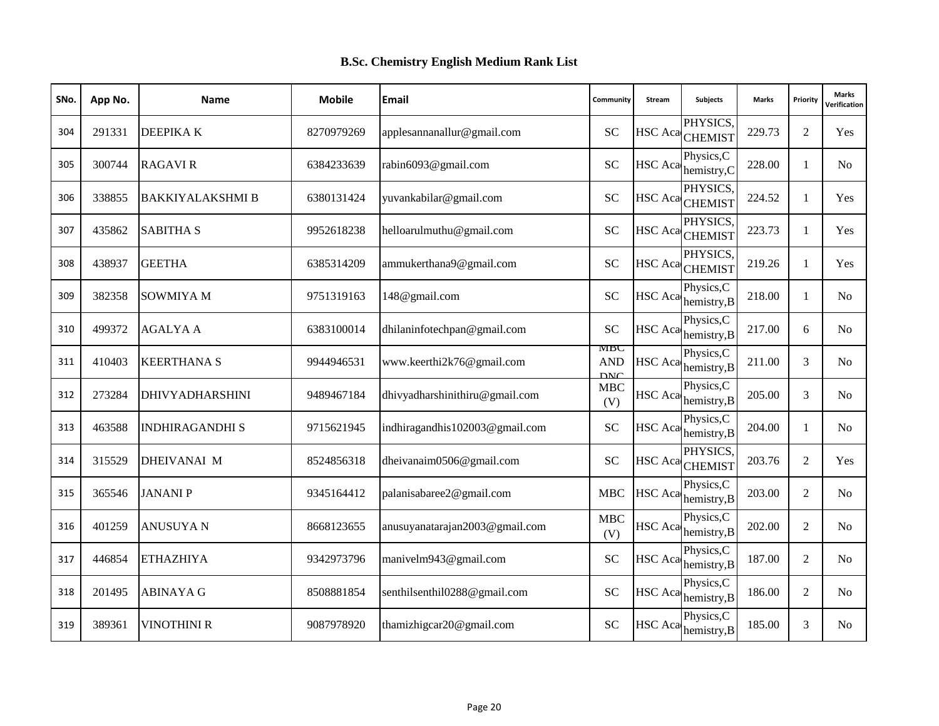| SNo. | App No. | <b>Name</b>             | <b>Mobile</b> | Email                          | Community                       | Stream         | Subjects                    | <b>Marks</b> | Priority     | <b>Marks</b><br>Verification |
|------|---------|-------------------------|---------------|--------------------------------|---------------------------------|----------------|-----------------------------|--------------|--------------|------------------------------|
| 304  | 291331  | DEEPIKA K               | 8270979269    | applesannanallur@gmail.com     | <b>SC</b>                       | <b>HSC</b> Aca | PHYSICS,<br><b>CHEMIST</b>  | 229.73       | 2            | Yes                          |
| 305  | 300744  | <b>RAGAVIR</b>          | 6384233639    | rabin6093@gmail.com            | <b>SC</b>                       | <b>HSC</b> Aca | Physics, C<br>hemistry, C   | 228.00       | 1            | N <sub>0</sub>               |
| 306  | 338855  | <b>BAKKIYALAKSHMI B</b> | 6380131424    | yuvankabilar@gmail.com         | <b>SC</b>                       |                | PHYSICS,<br>HSC Aca CHEMIST | 224.52       | 1            | Yes                          |
| 307  | 435862  | <b>SABITHA S</b>        | 9952618238    | helloarulmuthu@gmail.com       | <b>SC</b>                       | <b>HSC</b> Aca | PHYSICS.<br><b>CHEMIST</b>  | 223.73       | $\mathbf{1}$ | <b>Yes</b>                   |
| 308  | 438937  | <b>GEETHA</b>           | 6385314209    | ammukerthana9@gmail.com        | <b>SC</b>                       |                | PHYSICS.<br>HSC Aca CHEMIST | 219.26       | 1            | Yes                          |
| 309  | 382358  | <b>SOWMIYA M</b>        | 9751319163    | 148@gmail.com                  | <b>SC</b>                       | <b>HSC</b> Aca | Physics, C<br>hemistry, B   | 218.00       | $\mathbf{1}$ | N <sub>o</sub>               |
| 310  | 499372  | <b>AGALYA A</b>         | 6383100014    | dhilaninfotechpan@gmail.com    | <b>SC</b>                       | HSC Aca        | Physics, C<br>hemistry, B   | 217.00       | 6            | N <sub>0</sub>               |
| 311  | 410403  | <b>KEERTHANA S</b>      | 9944946531    | www.keerthi2k76@gmail.com      | MBC<br><b>AND</b><br><b>DNC</b> | HSC Aca        | Physics,C<br>hemistry, B    | 211.00       | 3            | N <sub>0</sub>               |
| 312  | 273284  | <b>DHIVYADHARSHINI</b>  | 9489467184    | dhivyadharshinithiru@gmail.com | <b>MBC</b><br>(V)               | HSC Aca        | Physics, C<br>hemistry, B   | 205.00       | 3            | N <sub>0</sub>               |
| 313  | 463588  | <b>INDHIRAGANDHI S</b>  | 9715621945    | indhiragandhis102003@gmail.com | <b>SC</b>                       | HSC Aca        | Physics, C<br>hemistry, B   | 204.00       | $\mathbf{1}$ | N <sub>0</sub>               |
| 314  | 315529  | <b>DHEIVANAI M</b>      | 8524856318    | dheivanaim0506@gmail.com       | <b>SC</b>                       | <b>HSC</b> Aca | PHYSICS.<br><b>CHEMIST</b>  | 203.76       | 2            | Yes                          |
| 315  | 365546  | <b>JANANIP</b>          | 9345164412    | palanisabaree2@gmail.com       | <b>MBC</b>                      | <b>HSC</b> Aca | Physics, C<br>hemistry, B   | 203.00       | 2            | N <sub>0</sub>               |
| 316  | 401259  | <b>ANUSUYAN</b>         | 8668123655    | anusuyanatarajan2003@gmail.com | MBC<br>(V)                      | HSC Aca        | Physics, C<br>hemistry, B   | 202.00       | 2            | N <sub>0</sub>               |
| 317  | 446854  | <b>ETHAZHIYA</b>        | 9342973796    | manivelm943@gmail.com          | <b>SC</b>                       | HSC Aca        | Physics,C<br>hemistry, B    | 187.00       | 2            | N <sub>0</sub>               |
| 318  | 201495  | <b>ABINAYA G</b>        | 8508881854    | senthilsenthil0288@gmail.com   | <b>SC</b>                       | <b>HSC</b> Aca | Physics, C<br>hemistry, B   | 186.00       | 2            | N <sub>0</sub>               |
| 319  | 389361  | <b>VINOTHINI R</b>      | 9087978920    | thamizhigcar20@gmail.com       | SC                              | <b>HSC</b> Aca | Physics, C<br>hemistry, B   | 185.00       | 3            | N <sub>0</sub>               |